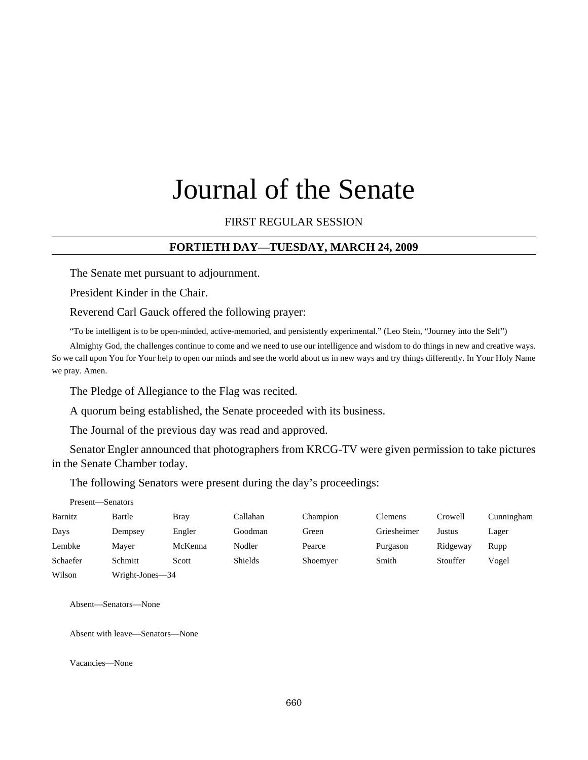# Journal of the Senate

# FIRST REGULAR SESSION

# **FORTIETH DAY—TUESDAY, MARCH 24, 2009**

The Senate met pursuant to adjournment.

President Kinder in the Chair.

Reverend Carl Gauck offered the following prayer:

"To be intelligent is to be open-minded, active-memoried, and persistently experimental." (Leo Stein, "Journey into the Self")

Almighty God, the challenges continue to come and we need to use our intelligence and wisdom to do things in new and creative ways. So we call upon You for Your help to open our minds and see the world about us in new ways and try things differently. In Your Holy Name we pray. Amen.

The Pledge of Allegiance to the Flag was recited.

A quorum being established, the Senate proceeded with its business.

The Journal of the previous day was read and approved.

Senator Engler announced that photographers from KRCG-TV were given permission to take pictures in the Senate Chamber today.

The following Senators were present during the day's proceedings:

| Present-Senators |                 |             |                |          |             |          |            |
|------------------|-----------------|-------------|----------------|----------|-------------|----------|------------|
| Barnitz          | Bartle          | <b>Bray</b> | Callahan       | Champion | Clemens     | Crowell  | Cunningham |
| Days             | Dempsey         | Engler      | Goodman        | Green    | Griesheimer | Justus   | Lager      |
| Lembke           | Mayer           | McKenna     | Nodler         | Pearce   | Purgason    | Ridgeway | Rupp       |
| Schaefer         | Schmitt         | Scott       | <b>Shields</b> | Shoemyer | Smith       | Stouffer | Vogel      |
| Wilson           | Wright-Jones-34 |             |                |          |             |          |            |

Absent—Senators—None

Absent with leave—Senators—None

Vacancies—None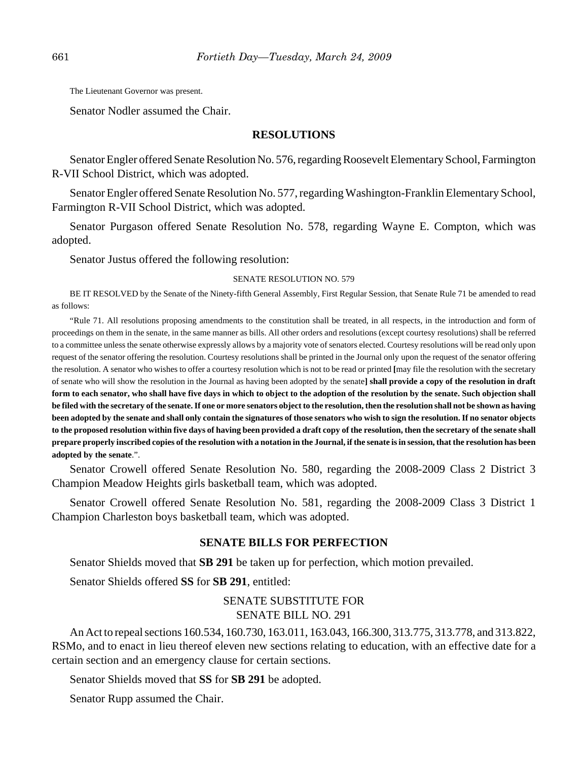The Lieutenant Governor was present.

Senator Nodler assumed the Chair.

#### **RESOLUTIONS**

Senator Engler offered Senate Resolution No. 576, regarding Roosevelt Elementary School, Farmington R-VII School District, which was adopted.

Senator Engler offered Senate Resolution No. 577, regarding Washington-Franklin Elementary School, Farmington R-VII School District, which was adopted.

Senator Purgason offered Senate Resolution No. 578, regarding Wayne E. Compton, which was adopted.

Senator Justus offered the following resolution:

#### SENATE RESOLUTION NO. 579

BE IT RESOLVED by the Senate of the Ninety-fifth General Assembly, First Regular Session, that Senate Rule 71 be amended to read as follows:

"Rule 71. All resolutions proposing amendments to the constitution shall be treated, in all respects, in the introduction and form of proceedings on them in the senate, in the same manner as bills. All other orders and resolutions (except courtesy resolutions) shall be referred to a committee unless the senate otherwise expressly allows by a majority vote of senators elected. Courtesy resolutions will be read only upon request of the senator offering the resolution. Courtesy resolutions shall be printed in the Journal only upon the request of the senator offering the resolution. A senator who wishes to offer a courtesy resolution which is not to be read or printed **[**may file the resolution with the secretary of senate who will show the resolution in the Journal as having been adopted by the senate**] shall provide a copy of the resolution in draft form to each senator, who shall have five days in which to object to the adoption of the resolution by the senate. Such objection shall be filed with the secretary of the senate. If one or more senators object to the resolution, then the resolution shall not be shown as having been adopted by the senate and shall only contain the signatures of those senators who wish to sign the resolution. If no senator objects to the proposed resolution within five days of having been provided a draft copy of the resolution, then the secretary of the senate shall prepare properly inscribed copies of the resolution with a notation in the Journal, if the senate is in session, that the resolution has been adopted by the senate**.".

Senator Crowell offered Senate Resolution No. 580, regarding the 2008-2009 Class 2 District 3 Champion Meadow Heights girls basketball team, which was adopted.

Senator Crowell offered Senate Resolution No. 581, regarding the 2008-2009 Class 3 District 1 Champion Charleston boys basketball team, which was adopted.

## **SENATE BILLS FOR PERFECTION**

Senator Shields moved that **SB 291** be taken up for perfection, which motion prevailed.

Senator Shields offered **SS** for **SB 291**, entitled:

# SENATE SUBSTITUTE FOR SENATE BILL NO. 291

An Act to repeal sections 160.534, 160.730, 163.011, 163.043, 166.300, 313.775, 313.778, and 313.822, RSMo, and to enact in lieu thereof eleven new sections relating to education, with an effective date for a certain section and an emergency clause for certain sections.

Senator Shields moved that **SS** for **SB 291** be adopted.

Senator Rupp assumed the Chair.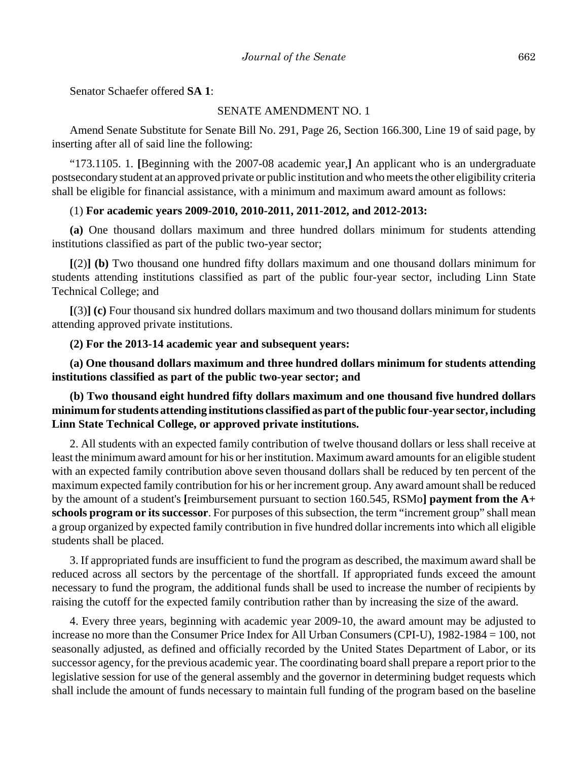Senator Schaefer offered **SA 1**:

#### SENATE AMENDMENT NO. 1

Amend Senate Substitute for Senate Bill No. 291, Page 26, Section 166.300, Line 19 of said page, by inserting after all of said line the following:

"173.1105. 1. **[**Beginning with the 2007-08 academic year,**]** An applicant who is an undergraduate postsecondary student at an approved private or public institution and who meets the other eligibility criteria shall be eligible for financial assistance, with a minimum and maximum award amount as follows:

# (1) **For academic years 2009-2010, 2010-2011, 2011-2012, and 2012-2013:**

**(a)** One thousand dollars maximum and three hundred dollars minimum for students attending institutions classified as part of the public two-year sector;

**[**(2)**] (b)** Two thousand one hundred fifty dollars maximum and one thousand dollars minimum for students attending institutions classified as part of the public four-year sector, including Linn State Technical College; and

**[**(3)**] (c)** Four thousand six hundred dollars maximum and two thousand dollars minimum for students attending approved private institutions.

#### **(2) For the 2013-14 academic year and subsequent years:**

**(a) One thousand dollars maximum and three hundred dollars minimum for students attending institutions classified as part of the public two-year sector; and**

# **(b) Two thousand eight hundred fifty dollars maximum and one thousand five hundred dollars minimum for students attending institutions classified as part of the public four-year sector, including Linn State Technical College, or approved private institutions.**

2. All students with an expected family contribution of twelve thousand dollars or less shall receive at least the minimum award amount for his or her institution. Maximum award amounts for an eligible student with an expected family contribution above seven thousand dollars shall be reduced by ten percent of the maximum expected family contribution for his or her increment group. Any award amount shall be reduced by the amount of a student's **[**reimbursement pursuant to section 160.545, RSMo**] payment from the A+ schools program or its successor**. For purposes of this subsection, the term "increment group" shall mean a group organized by expected family contribution in five hundred dollar increments into which all eligible students shall be placed.

3. If appropriated funds are insufficient to fund the program as described, the maximum award shall be reduced across all sectors by the percentage of the shortfall. If appropriated funds exceed the amount necessary to fund the program, the additional funds shall be used to increase the number of recipients by raising the cutoff for the expected family contribution rather than by increasing the size of the award.

4. Every three years, beginning with academic year 2009-10, the award amount may be adjusted to increase no more than the Consumer Price Index for All Urban Consumers (CPI-U), 1982-1984 = 100, not seasonally adjusted, as defined and officially recorded by the United States Department of Labor, or its successor agency, for the previous academic year. The coordinating board shall prepare a report prior to the legislative session for use of the general assembly and the governor in determining budget requests which shall include the amount of funds necessary to maintain full funding of the program based on the baseline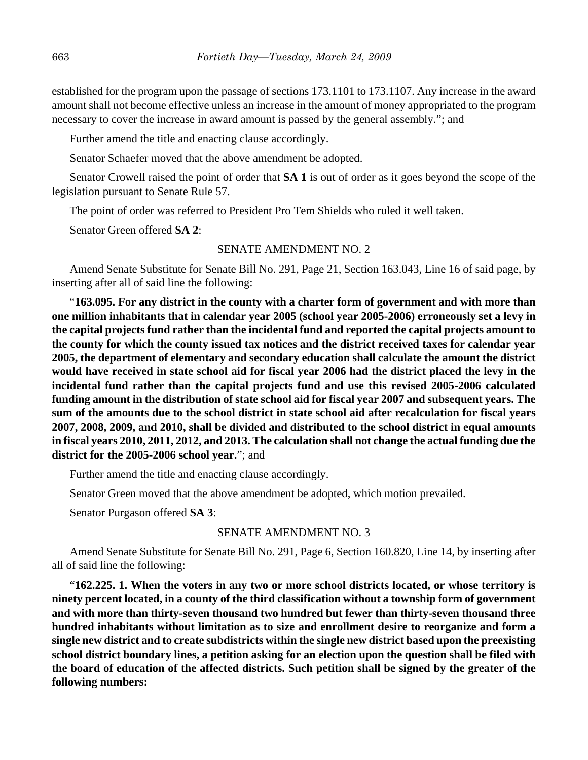established for the program upon the passage of sections 173.1101 to 173.1107. Any increase in the award amount shall not become effective unless an increase in the amount of money appropriated to the program necessary to cover the increase in award amount is passed by the general assembly."; and

Further amend the title and enacting clause accordingly.

Senator Schaefer moved that the above amendment be adopted.

Senator Crowell raised the point of order that **SA 1** is out of order as it goes beyond the scope of the legislation pursuant to Senate Rule 57.

The point of order was referred to President Pro Tem Shields who ruled it well taken.

Senator Green offered **SA 2**:

## SENATE AMENDMENT NO. 2

Amend Senate Substitute for Senate Bill No. 291, Page 21, Section 163.043, Line 16 of said page, by inserting after all of said line the following:

"**163.095. For any district in the county with a charter form of government and with more than one million inhabitants that in calendar year 2005 (school year 2005-2006) erroneously set a levy in the capital projects fund rather than the incidental fund and reported the capital projects amount to the county for which the county issued tax notices and the district received taxes for calendar year 2005, the department of elementary and secondary education shall calculate the amount the district would have received in state school aid for fiscal year 2006 had the district placed the levy in the incidental fund rather than the capital projects fund and use this revised 2005-2006 calculated funding amount in the distribution of state school aid for fiscal year 2007 and subsequent years. The sum of the amounts due to the school district in state school aid after recalculation for fiscal years 2007, 2008, 2009, and 2010, shall be divided and distributed to the school district in equal amounts in fiscal years 2010, 2011, 2012, and 2013. The calculation shall not change the actual funding due the district for the 2005-2006 school year.**"; and

Further amend the title and enacting clause accordingly.

Senator Green moved that the above amendment be adopted, which motion prevailed.

Senator Purgason offered **SA 3**:

## SENATE AMENDMENT NO. 3

Amend Senate Substitute for Senate Bill No. 291, Page 6, Section 160.820, Line 14, by inserting after all of said line the following:

"**162.225. 1. When the voters in any two or more school districts located, or whose territory is ninety percent located, in a county of the third classification without a township form of government and with more than thirty-seven thousand two hundred but fewer than thirty-seven thousand three hundred inhabitants without limitation as to size and enrollment desire to reorganize and form a single new district and to create subdistricts within the single new district based upon the preexisting school district boundary lines, a petition asking for an election upon the question shall be filed with the board of education of the affected districts. Such petition shall be signed by the greater of the following numbers:**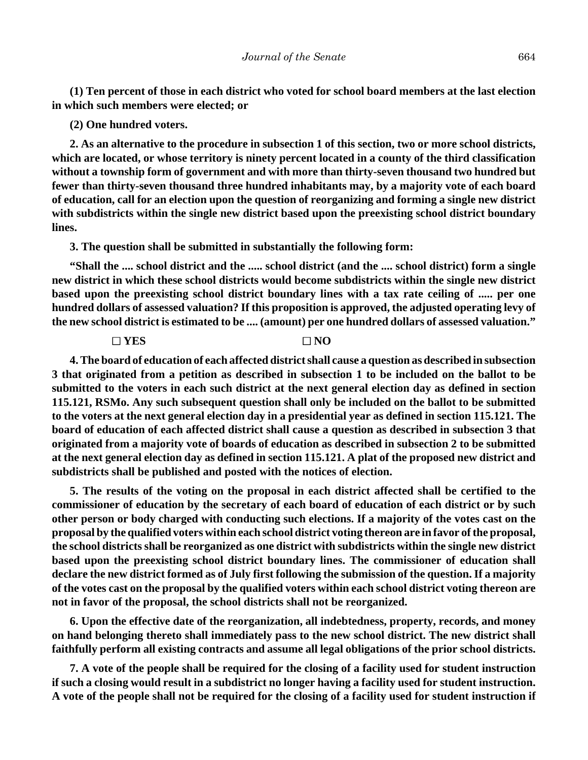**(1) Ten percent of those in each district who voted for school board members at the last election in which such members were elected; or**

#### **(2) One hundred voters.**

**2. As an alternative to the procedure in subsection 1 of this section, two or more school districts, which are located, or whose territory is ninety percent located in a county of the third classification without a township form of government and with more than thirty-seven thousand two hundred but fewer than thirty-seven thousand three hundred inhabitants may, by a majority vote of each board of education, call for an election upon the question of reorganizing and forming a single new district with subdistricts within the single new district based upon the preexisting school district boundary lines.**

**3. The question shall be submitted in substantially the following form:**

**"Shall the .... school district and the ..... school district (and the .... school district) form a single new district in which these school districts would become subdistricts within the single new district based upon the preexisting school district boundary lines with a tax rate ceiling of ..... per one hundred dollars of assessed valuation? If this proposition is approved, the adjusted operating levy of the new school district is estimated to be .... (amount) per one hundred dollars of assessed valuation."**

# $\Box$  YES  $\Box$  NO

**4. The board of education of each affected district shall cause a question as described in subsection 3 that originated from a petition as described in subsection 1 to be included on the ballot to be submitted to the voters in each such district at the next general election day as defined in section 115.121, RSMo. Any such subsequent question shall only be included on the ballot to be submitted to the voters at the next general election day in a presidential year as defined in section 115.121. The board of education of each affected district shall cause a question as described in subsection 3 that originated from a majority vote of boards of education as described in subsection 2 to be submitted at the next general election day as defined in section 115.121. A plat of the proposed new district and subdistricts shall be published and posted with the notices of election.**

**5. The results of the voting on the proposal in each district affected shall be certified to the commissioner of education by the secretary of each board of education of each district or by such other person or body charged with conducting such elections. If a majority of the votes cast on the proposal by the qualified voters within each school district voting thereon are in favor of the proposal, the school districts shall be reorganized as one district with subdistricts within the single new district based upon the preexisting school district boundary lines. The commissioner of education shall declare the new district formed as of July first following the submission of the question. If a majority of the votes cast on the proposal by the qualified voters within each school district voting thereon are not in favor of the proposal, the school districts shall not be reorganized.**

**6. Upon the effective date of the reorganization, all indebtedness, property, records, and money on hand belonging thereto shall immediately pass to the new school district. The new district shall faithfully perform all existing contracts and assume all legal obligations of the prior school districts.**

**7. A vote of the people shall be required for the closing of a facility used for student instruction if such a closing would result in a subdistrict no longer having a facility used for student instruction. A vote of the people shall not be required for the closing of a facility used for student instruction if**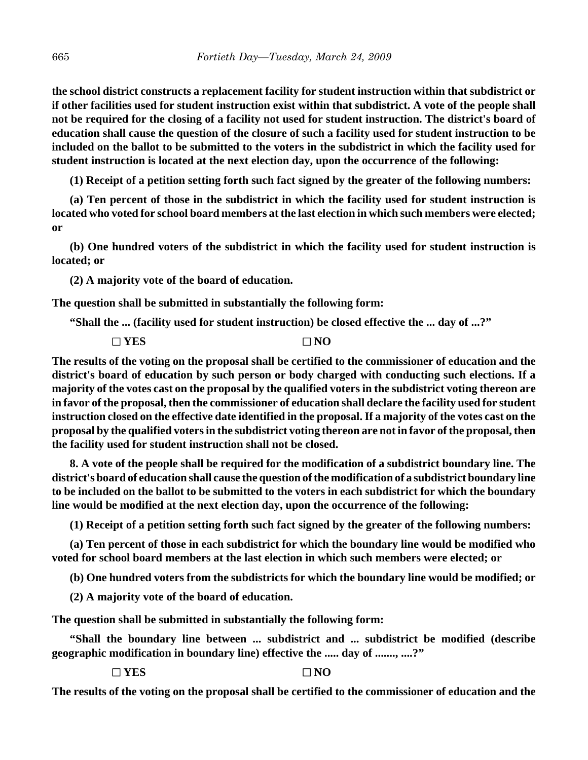**the school district constructs a replacement facility for student instruction within that subdistrict or if other facilities used for student instruction exist within that subdistrict. A vote of the people shall not be required for the closing of a facility not used for student instruction. The district's board of education shall cause the question of the closure of such a facility used for student instruction to be included on the ballot to be submitted to the voters in the subdistrict in which the facility used for student instruction is located at the next election day, upon the occurrence of the following:**

**(1) Receipt of a petition setting forth such fact signed by the greater of the following numbers:**

**(a) Ten percent of those in the subdistrict in which the facility used for student instruction is located who voted for school board members at the last election in which such members were elected; or**

**(b) One hundred voters of the subdistrict in which the facility used for student instruction is located; or**

**(2) A majority vote of the board of education.**

**The question shall be submitted in substantially the following form:**

**"Shall the ... (facility used for student instruction) be closed effective the ... day of ...?"**

 $\Box$  YES  $\Box$  NO

**The results of the voting on the proposal shall be certified to the commissioner of education and the district's board of education by such person or body charged with conducting such elections. If a majority of the votes cast on the proposal by the qualified voters in the subdistrict voting thereon are in favor of the proposal, then the commissioner of education shall declare the facility used for student instruction closed on the effective date identified in the proposal. If a majority of the votes cast on the proposal by the qualified voters in the subdistrict voting thereon are not in favor of the proposal, then the facility used for student instruction shall not be closed.**

**8. A vote of the people shall be required for the modification of a subdistrict boundary line. The district's board of education shall cause the question of the modification of a subdistrict boundary line to be included on the ballot to be submitted to the voters in each subdistrict for which the boundary line would be modified at the next election day, upon the occurrence of the following:**

**(1) Receipt of a petition setting forth such fact signed by the greater of the following numbers:**

**(a) Ten percent of those in each subdistrict for which the boundary line would be modified who voted for school board members at the last election in which such members were elected; or**

**(b) One hundred voters from the subdistricts for which the boundary line would be modified; or**

**(2) A majority vote of the board of education.**

**The question shall be submitted in substantially the following form:**

**"Shall the boundary line between ... subdistrict and ... subdistrict be modified (describe geographic modification in boundary line) effective the ..... day of ......., ....?"**

 $\Box$  YES  $\Box$  NO

**The results of the voting on the proposal shall be certified to the commissioner of education and the**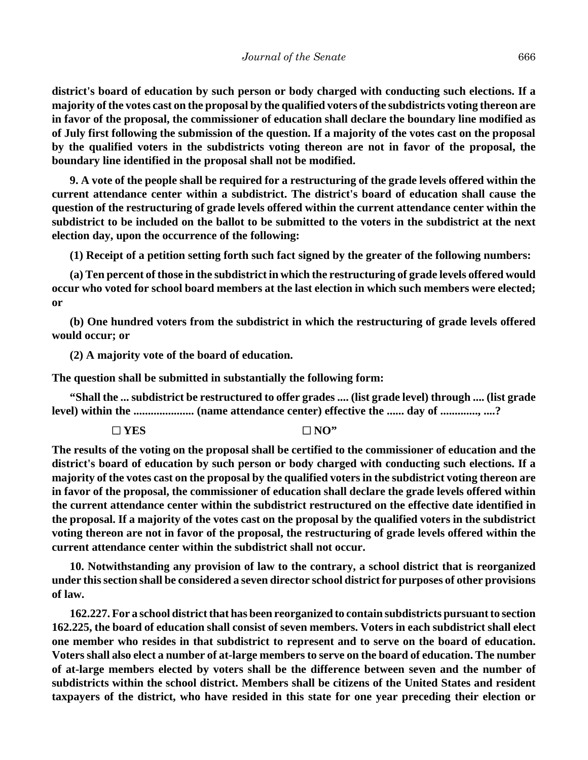**district's board of education by such person or body charged with conducting such elections. If a majority of the votes cast on the proposal by the qualified voters of the subdistricts voting thereon are in favor of the proposal, the commissioner of education shall declare the boundary line modified as of July first following the submission of the question. If a majority of the votes cast on the proposal by the qualified voters in the subdistricts voting thereon are not in favor of the proposal, the boundary line identified in the proposal shall not be modified.**

**9. A vote of the people shall be required for a restructuring of the grade levels offered within the current attendance center within a subdistrict. The district's board of education shall cause the question of the restructuring of grade levels offered within the current attendance center within the subdistrict to be included on the ballot to be submitted to the voters in the subdistrict at the next election day, upon the occurrence of the following:**

**(1) Receipt of a petition setting forth such fact signed by the greater of the following numbers:**

**(a) Ten percent of those in the subdistrict in which the restructuring of grade levels offered would occur who voted for school board members at the last election in which such members were elected; or**

**(b) One hundred voters from the subdistrict in which the restructuring of grade levels offered would occur; or**

**(2) A majority vote of the board of education.**

**The question shall be submitted in substantially the following form:**

**"Shall the ... subdistrict be restructured to offer grades .... (list grade level) through .... (list grade level) within the ..................... (name attendance center) effective the ...... day of ............., ....?**

 $\Box$  YES  $\Box$  YES  $\Box$  NO"

**The results of the voting on the proposal shall be certified to the commissioner of education and the district's board of education by such person or body charged with conducting such elections. If a majority of the votes cast on the proposal by the qualified voters in the subdistrict voting thereon are in favor of the proposal, the commissioner of education shall declare the grade levels offered within the current attendance center within the subdistrict restructured on the effective date identified in the proposal. If a majority of the votes cast on the proposal by the qualified voters in the subdistrict voting thereon are not in favor of the proposal, the restructuring of grade levels offered within the current attendance center within the subdistrict shall not occur.**

**10. Notwithstanding any provision of law to the contrary, a school district that is reorganized under this section shall be considered a seven director school district for purposes of other provisions of law.**

**162.227. For a school district that has been reorganized to contain subdistricts pursuant to section 162.225, the board of education shall consist of seven members. Voters in each subdistrict shall elect one member who resides in that subdistrict to represent and to serve on the board of education. Voters shall also elect a number of at-large members to serve on the board of education. The number of at-large members elected by voters shall be the difference between seven and the number of subdistricts within the school district. Members shall be citizens of the United States and resident taxpayers of the district, who have resided in this state for one year preceding their election or**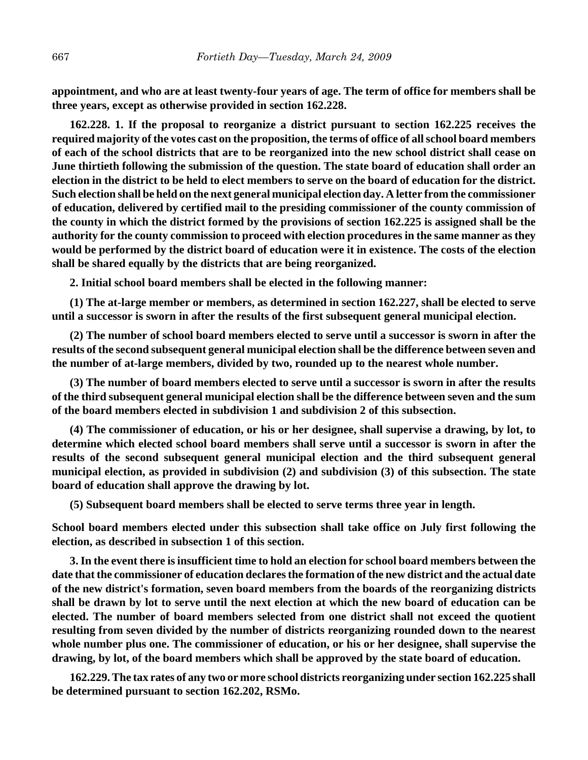**appointment, and who are at least twenty-four years of age. The term of office for members shall be three years, except as otherwise provided in section 162.228.**

**162.228. 1. If the proposal to reorganize a district pursuant to section 162.225 receives the required majority of the votes cast on the proposition, the terms of office of all school board members of each of the school districts that are to be reorganized into the new school district shall cease on June thirtieth following the submission of the question. The state board of education shall order an election in the district to be held to elect members to serve on the board of education for the district. Such election shall be held on the next general municipal election day. A letter from the commissioner of education, delivered by certified mail to the presiding commissioner of the county commission of the county in which the district formed by the provisions of section 162.225 is assigned shall be the authority for the county commission to proceed with election procedures in the same manner as they would be performed by the district board of education were it in existence. The costs of the election shall be shared equally by the districts that are being reorganized.**

**2. Initial school board members shall be elected in the following manner:**

**(1) The at-large member or members, as determined in section 162.227, shall be elected to serve until a successor is sworn in after the results of the first subsequent general municipal election.**

**(2) The number of school board members elected to serve until a successor is sworn in after the results of the second subsequent general municipal election shall be the difference between seven and the number of at-large members, divided by two, rounded up to the nearest whole number.**

**(3) The number of board members elected to serve until a successor is sworn in after the results of the third subsequent general municipal election shall be the difference between seven and the sum of the board members elected in subdivision 1 and subdivision 2 of this subsection.**

**(4) The commissioner of education, or his or her designee, shall supervise a drawing, by lot, to determine which elected school board members shall serve until a successor is sworn in after the results of the second subsequent general municipal election and the third subsequent general municipal election, as provided in subdivision (2) and subdivision (3) of this subsection. The state board of education shall approve the drawing by lot.**

**(5) Subsequent board members shall be elected to serve terms three year in length.**

**School board members elected under this subsection shall take office on July first following the election, as described in subsection 1 of this section.**

**3. In the event there is insufficient time to hold an election for school board members between the date that the commissioner of education declares the formation of the new district and the actual date of the new district's formation, seven board members from the boards of the reorganizing districts shall be drawn by lot to serve until the next election at which the new board of education can be elected. The number of board members selected from one district shall not exceed the quotient resulting from seven divided by the number of districts reorganizing rounded down to the nearest whole number plus one. The commissioner of education, or his or her designee, shall supervise the drawing, by lot, of the board members which shall be approved by the state board of education.**

**162.229. The tax rates of any two or more school districts reorganizing under section 162.225 shall be determined pursuant to section 162.202, RSMo.**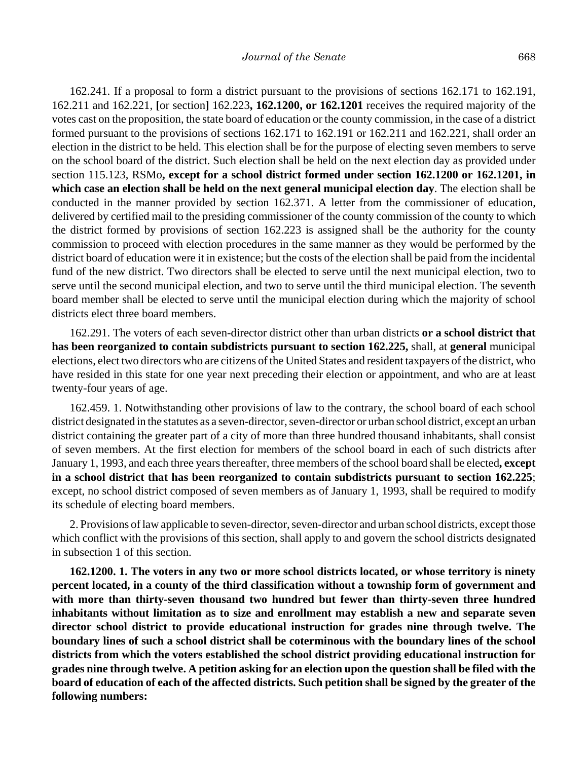162.241. If a proposal to form a district pursuant to the provisions of sections 162.171 to 162.191, 162.211 and 162.221, **[**or section**]** 162.223**, 162.1200, or 162.1201** receives the required majority of the votes cast on the proposition, the state board of education or the county commission, in the case of a district formed pursuant to the provisions of sections 162.171 to 162.191 or 162.211 and 162.221, shall order an election in the district to be held. This election shall be for the purpose of electing seven members to serve on the school board of the district. Such election shall be held on the next election day as provided under section 115.123, RSMo**, except for a school district formed under section 162.1200 or 162.1201, in which case an election shall be held on the next general municipal election day**. The election shall be conducted in the manner provided by section 162.371. A letter from the commissioner of education, delivered by certified mail to the presiding commissioner of the county commission of the county to which the district formed by provisions of section 162.223 is assigned shall be the authority for the county commission to proceed with election procedures in the same manner as they would be performed by the district board of education were it in existence; but the costs of the election shall be paid from the incidental fund of the new district. Two directors shall be elected to serve until the next municipal election, two to serve until the second municipal election, and two to serve until the third municipal election. The seventh board member shall be elected to serve until the municipal election during which the majority of school districts elect three board members.

162.291. The voters of each seven-director district other than urban districts **or a school district that has been reorganized to contain subdistricts pursuant to section 162.225,** shall, at **general** municipal elections, elect two directors who are citizens of the United States and resident taxpayers of the district, who have resided in this state for one year next preceding their election or appointment, and who are at least twenty-four years of age.

162.459. 1. Notwithstanding other provisions of law to the contrary, the school board of each school district designated in the statutes as a seven-director, seven-director or urban school district, except an urban district containing the greater part of a city of more than three hundred thousand inhabitants, shall consist of seven members. At the first election for members of the school board in each of such districts after January 1, 1993, and each three years thereafter, three members of the school board shall be elected**, except in a school district that has been reorganized to contain subdistricts pursuant to section 162.225**; except, no school district composed of seven members as of January 1, 1993, shall be required to modify its schedule of electing board members.

2. Provisions of law applicable to seven-director, seven-director and urban school districts, except those which conflict with the provisions of this section, shall apply to and govern the school districts designated in subsection 1 of this section.

**162.1200. 1. The voters in any two or more school districts located, or whose territory is ninety percent located, in a county of the third classification without a township form of government and with more than thirty-seven thousand two hundred but fewer than thirty-seven three hundred inhabitants without limitation as to size and enrollment may establish a new and separate seven director school district to provide educational instruction for grades nine through twelve. The boundary lines of such a school district shall be coterminous with the boundary lines of the school districts from which the voters established the school district providing educational instruction for grades nine through twelve. A petition asking for an election upon the question shall be filed with the board of education of each of the affected districts. Such petition shall be signed by the greater of the following numbers:**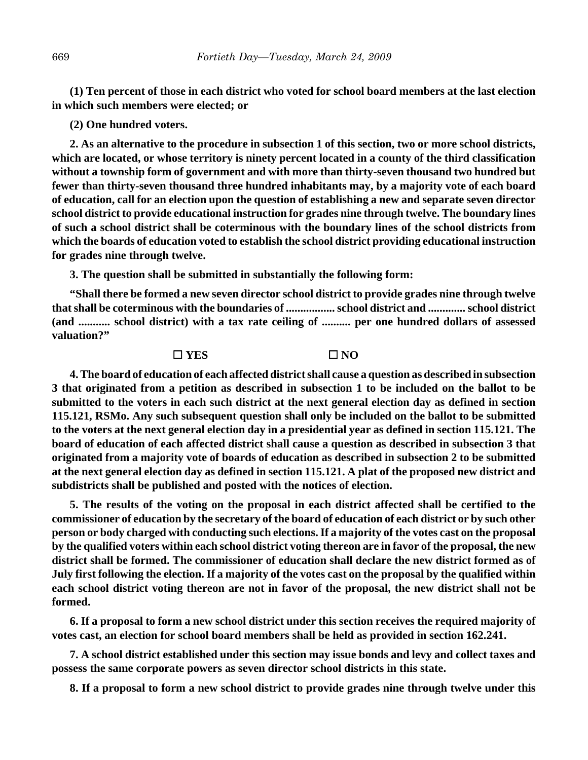**(1) Ten percent of those in each district who voted for school board members at the last election in which such members were elected; or**

## **(2) One hundred voters.**

**2. As an alternative to the procedure in subsection 1 of this section, two or more school districts, which are located, or whose territory is ninety percent located in a county of the third classification without a township form of government and with more than thirty-seven thousand two hundred but fewer than thirty-seven thousand three hundred inhabitants may, by a majority vote of each board of education, call for an election upon the question of establishing a new and separate seven director school district to provide educational instruction for grades nine through twelve. The boundary lines of such a school district shall be coterminous with the boundary lines of the school districts from which the boards of education voted to establish the school district providing educational instruction for grades nine through twelve.**

**3. The question shall be submitted in substantially the following form:**

**"Shall there be formed a new seven director school district to provide grades nine through twelve that shall be coterminous with the boundaries of ................. school district and ............. school district (and ........... school district) with a tax rate ceiling of .......... per one hundred dollars of assessed valuation?"**

#### G **YES** G **NO**

**4. The board of education of each affected district shall cause a question as described in subsection 3 that originated from a petition as described in subsection 1 to be included on the ballot to be submitted to the voters in each such district at the next general election day as defined in section 115.121, RSMo. Any such subsequent question shall only be included on the ballot to be submitted to the voters at the next general election day in a presidential year as defined in section 115.121. The board of education of each affected district shall cause a question as described in subsection 3 that originated from a majority vote of boards of education as described in subsection 2 to be submitted at the next general election day as defined in section 115.121. A plat of the proposed new district and subdistricts shall be published and posted with the notices of election.**

**5. The results of the voting on the proposal in each district affected shall be certified to the commissioner of education by the secretary of the board of education of each district or by such other person or body charged with conducting such elections. If a majority of the votes cast on the proposal by the qualified voters within each school district voting thereon are in favor of the proposal, the new district shall be formed. The commissioner of education shall declare the new district formed as of July first following the election. If a majority of the votes cast on the proposal by the qualified within each school district voting thereon are not in favor of the proposal, the new district shall not be formed.**

**6. If a proposal to form a new school district under this section receives the required majority of votes cast, an election for school board members shall be held as provided in section 162.241.**

**7. A school district established under this section may issue bonds and levy and collect taxes and possess the same corporate powers as seven director school districts in this state.**

**8. If a proposal to form a new school district to provide grades nine through twelve under this**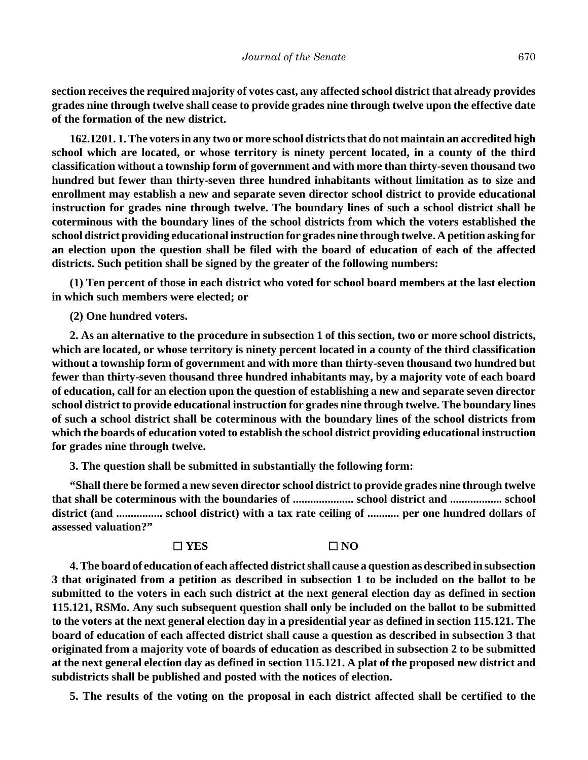**section receives the required majority of votes cast, any affected school district that already provides grades nine through twelve shall cease to provide grades nine through twelve upon the effective date of the formation of the new district.**

**162.1201. 1. The voters in any two or more school districts that do not maintain an accredited high school which are located, or whose territory is ninety percent located, in a county of the third classification without a township form of government and with more than thirty-seven thousand two hundred but fewer than thirty-seven three hundred inhabitants without limitation as to size and enrollment may establish a new and separate seven director school district to provide educational instruction for grades nine through twelve. The boundary lines of such a school district shall be coterminous with the boundary lines of the school districts from which the voters established the school district providing educational instruction for grades nine through twelve. A petition asking for an election upon the question shall be filed with the board of education of each of the affected districts. Such petition shall be signed by the greater of the following numbers:**

**(1) Ten percent of those in each district who voted for school board members at the last election in which such members were elected; or**

**(2) One hundred voters.**

**2. As an alternative to the procedure in subsection 1 of this section, two or more school districts, which are located, or whose territory is ninety percent located in a county of the third classification without a township form of government and with more than thirty-seven thousand two hundred but fewer than thirty-seven thousand three hundred inhabitants may, by a majority vote of each board of education, call for an election upon the question of establishing a new and separate seven director school district to provide educational instruction for grades nine through twelve. The boundary lines of such a school district shall be coterminous with the boundary lines of the school districts from which the boards of education voted to establish the school district providing educational instruction for grades nine through twelve.**

**3. The question shall be submitted in substantially the following form:**

**"Shall there be formed a new seven director school district to provide grades nine through twelve that shall be coterminous with the boundaries of ..................... school district and .................. school district (and ................ school district) with a tax rate ceiling of ........... per one hundred dollars of assessed valuation?"**

#### G **YES** G **NO**

**4. The board of education of each affected district shall cause a question as described in subsection 3 that originated from a petition as described in subsection 1 to be included on the ballot to be submitted to the voters in each such district at the next general election day as defined in section 115.121, RSMo. Any such subsequent question shall only be included on the ballot to be submitted to the voters at the next general election day in a presidential year as defined in section 115.121. The board of education of each affected district shall cause a question as described in subsection 3 that originated from a majority vote of boards of education as described in subsection 2 to be submitted at the next general election day as defined in section 115.121. A plat of the proposed new district and subdistricts shall be published and posted with the notices of election.**

**5. The results of the voting on the proposal in each district affected shall be certified to the**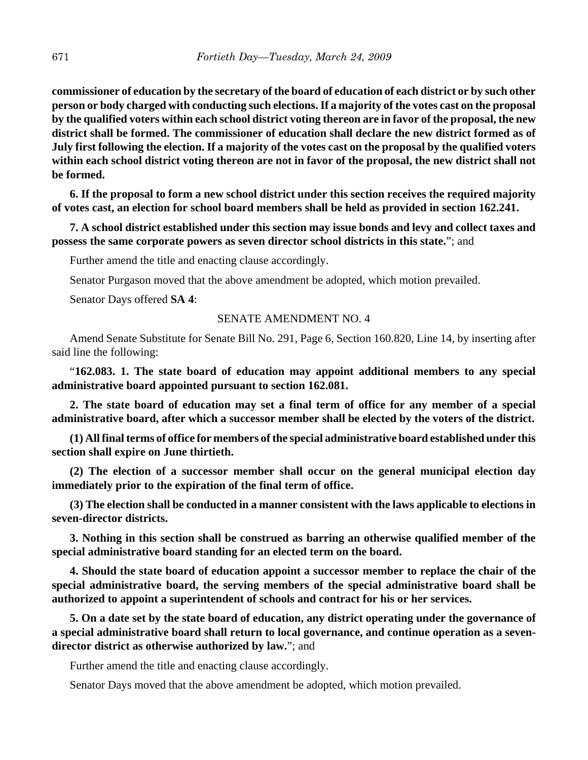**commissioner of education by the secretary of the board of education of each district or by such other person or body charged with conducting such elections. If a majority of the votes cast on the proposal by the qualified voters within each school district voting thereon are in favor of the proposal, the new district shall be formed. The commissioner of education shall declare the new district formed as of July first following the election. If a majority of the votes cast on the proposal by the qualified voters within each school district voting thereon are not in favor of the proposal, the new district shall not be formed.**

**6. If the proposal to form a new school district under this section receives the required majority of votes cast, an election for school board members shall be held as provided in section 162.241.**

**7. A school district established under this section may issue bonds and levy and collect taxes and possess the same corporate powers as seven director school districts in this state.**"; and

Further amend the title and enacting clause accordingly.

Senator Purgason moved that the above amendment be adopted, which motion prevailed.

Senator Days offered **SA 4**:

# SENATE AMENDMENT NO. 4

Amend Senate Substitute for Senate Bill No. 291, Page 6, Section 160.820, Line 14, by inserting after said line the following:

"**162.083. 1. The state board of education may appoint additional members to any special administrative board appointed pursuant to section 162.081.**

**2. The state board of education may set a final term of office for any member of a special administrative board, after which a successor member shall be elected by the voters of the district.**

**(1) All final terms of office for members of the special administrative board established under this section shall expire on June thirtieth.**

**(2) The election of a successor member shall occur on the general municipal election day immediately prior to the expiration of the final term of office.**

**(3) The election shall be conducted in a manner consistent with the laws applicable to elections in seven-director districts.**

**3. Nothing in this section shall be construed as barring an otherwise qualified member of the special administrative board standing for an elected term on the board.**

**4. Should the state board of education appoint a successor member to replace the chair of the special administrative board, the serving members of the special administrative board shall be authorized to appoint a superintendent of schools and contract for his or her services.**

**5. On a date set by the state board of education, any district operating under the governance of a special administrative board shall return to local governance, and continue operation as a sevendirector district as otherwise authorized by law.**"; and

Further amend the title and enacting clause accordingly.

Senator Days moved that the above amendment be adopted, which motion prevailed.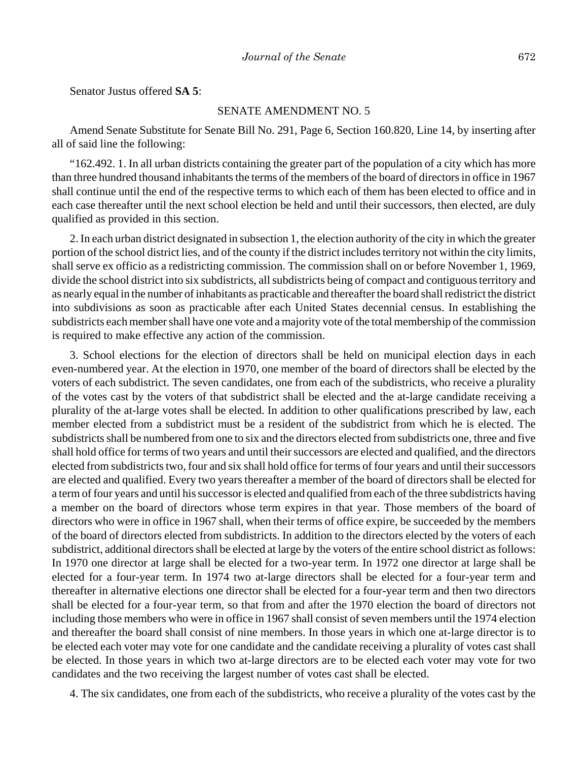Senator Justus offered **SA 5**:

# SENATE AMENDMENT NO. 5

Amend Senate Substitute for Senate Bill No. 291, Page 6, Section 160.820, Line 14, by inserting after all of said line the following:

"162.492. 1. In all urban districts containing the greater part of the population of a city which has more than three hundred thousand inhabitants the terms of the members of the board of directors in office in 1967 shall continue until the end of the respective terms to which each of them has been elected to office and in each case thereafter until the next school election be held and until their successors, then elected, are duly qualified as provided in this section.

2. In each urban district designated in subsection 1, the election authority of the city in which the greater portion of the school district lies, and of the county if the district includes territory not within the city limits, shall serve ex officio as a redistricting commission. The commission shall on or before November 1, 1969, divide the school district into six subdistricts, all subdistricts being of compact and contiguous territory and as nearly equal in the number of inhabitants as practicable and thereafter the board shall redistrict the district into subdivisions as soon as practicable after each United States decennial census. In establishing the subdistricts each member shall have one vote and a majority vote of the total membership of the commission is required to make effective any action of the commission.

3. School elections for the election of directors shall be held on municipal election days in each even-numbered year. At the election in 1970, one member of the board of directors shall be elected by the voters of each subdistrict. The seven candidates, one from each of the subdistricts, who receive a plurality of the votes cast by the voters of that subdistrict shall be elected and the at-large candidate receiving a plurality of the at-large votes shall be elected. In addition to other qualifications prescribed by law, each member elected from a subdistrict must be a resident of the subdistrict from which he is elected. The subdistricts shall be numbered from one to six and the directors elected from subdistricts one, three and five shall hold office for terms of two years and until their successors are elected and qualified, and the directors elected from subdistricts two, four and six shall hold office for terms of four years and until their successors are elected and qualified. Every two years thereafter a member of the board of directors shall be elected for a term of four years and until his successor is elected and qualified from each of the three subdistricts having a member on the board of directors whose term expires in that year. Those members of the board of directors who were in office in 1967 shall, when their terms of office expire, be succeeded by the members of the board of directors elected from subdistricts. In addition to the directors elected by the voters of each subdistrict, additional directors shall be elected at large by the voters of the entire school district as follows: In 1970 one director at large shall be elected for a two-year term. In 1972 one director at large shall be elected for a four-year term. In 1974 two at-large directors shall be elected for a four-year term and thereafter in alternative elections one director shall be elected for a four-year term and then two directors shall be elected for a four-year term, so that from and after the 1970 election the board of directors not including those members who were in office in 1967 shall consist of seven members until the 1974 election and thereafter the board shall consist of nine members. In those years in which one at-large director is to be elected each voter may vote for one candidate and the candidate receiving a plurality of votes cast shall be elected. In those years in which two at-large directors are to be elected each voter may vote for two candidates and the two receiving the largest number of votes cast shall be elected.

4. The six candidates, one from each of the subdistricts, who receive a plurality of the votes cast by the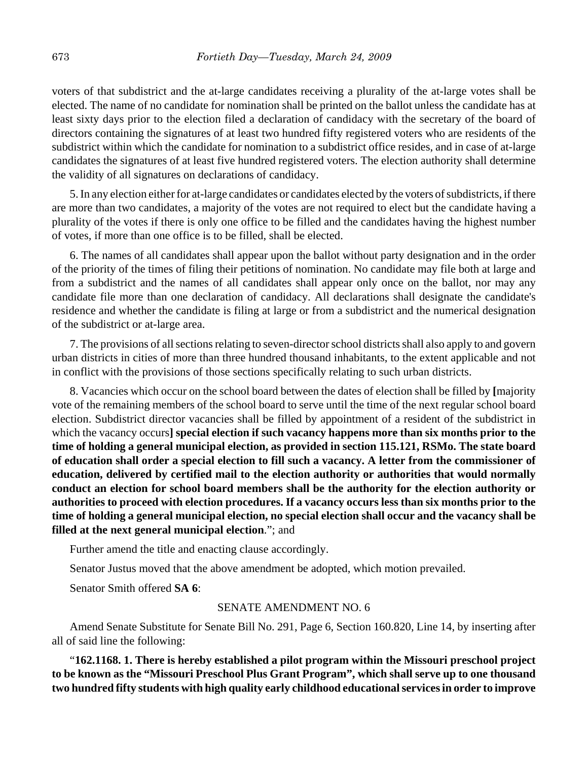voters of that subdistrict and the at-large candidates receiving a plurality of the at-large votes shall be elected. The name of no candidate for nomination shall be printed on the ballot unless the candidate has at least sixty days prior to the election filed a declaration of candidacy with the secretary of the board of directors containing the signatures of at least two hundred fifty registered voters who are residents of the subdistrict within which the candidate for nomination to a subdistrict office resides, and in case of at-large candidates the signatures of at least five hundred registered voters. The election authority shall determine the validity of all signatures on declarations of candidacy.

5. In any election either for at-large candidates or candidates elected by the voters of subdistricts, if there are more than two candidates, a majority of the votes are not required to elect but the candidate having a plurality of the votes if there is only one office to be filled and the candidates having the highest number of votes, if more than one office is to be filled, shall be elected.

6. The names of all candidates shall appear upon the ballot without party designation and in the order of the priority of the times of filing their petitions of nomination. No candidate may file both at large and from a subdistrict and the names of all candidates shall appear only once on the ballot, nor may any candidate file more than one declaration of candidacy. All declarations shall designate the candidate's residence and whether the candidate is filing at large or from a subdistrict and the numerical designation of the subdistrict or at-large area.

7. The provisions of all sections relating to seven-director school districts shall also apply to and govern urban districts in cities of more than three hundred thousand inhabitants, to the extent applicable and not in conflict with the provisions of those sections specifically relating to such urban districts.

8. Vacancies which occur on the school board between the dates of election shall be filled by **[**majority vote of the remaining members of the school board to serve until the time of the next regular school board election. Subdistrict director vacancies shall be filled by appointment of a resident of the subdistrict in which the vacancy occurs**] special election if such vacancy happens more than six months prior to the time of holding a general municipal election, as provided in section 115.121, RSMo. The state board of education shall order a special election to fill such a vacancy. A letter from the commissioner of education, delivered by certified mail to the election authority or authorities that would normally conduct an election for school board members shall be the authority for the election authority or authorities to proceed with election procedures. If a vacancy occurs less than six months prior to the time of holding a general municipal election, no special election shall occur and the vacancy shall be filled at the next general municipal election**."; and

Further amend the title and enacting clause accordingly.

Senator Justus moved that the above amendment be adopted, which motion prevailed.

Senator Smith offered **SA 6**:

## SENATE AMENDMENT NO. 6

Amend Senate Substitute for Senate Bill No. 291, Page 6, Section 160.820, Line 14, by inserting after all of said line the following:

"**162.1168. 1. There is hereby established a pilot program within the Missouri preschool project to be known as the "Missouri Preschool Plus Grant Program", which shall serve up to one thousand two hundred fifty students with high quality early childhood educational services in order to improve**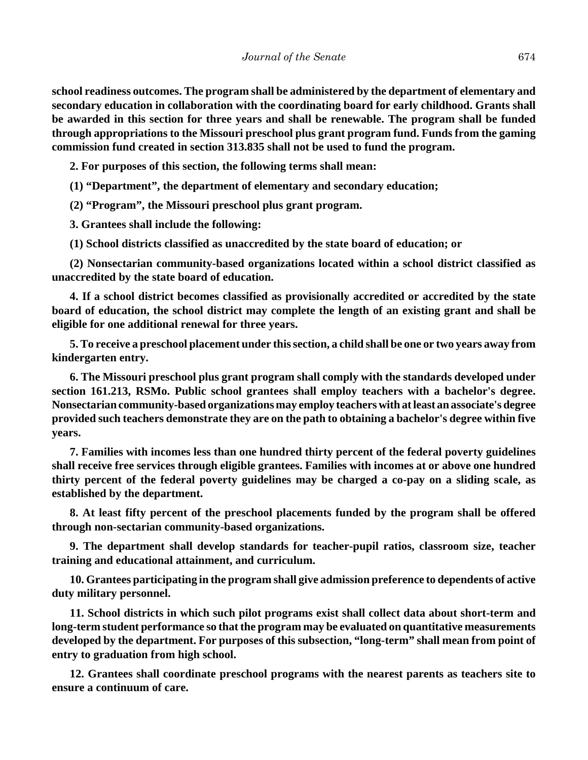**school readiness outcomes. The program shall be administered by the department of elementary and secondary education in collaboration with the coordinating board for early childhood. Grants shall be awarded in this section for three years and shall be renewable. The program shall be funded through appropriations to the Missouri preschool plus grant program fund. Funds from the gaming commission fund created in section 313.835 shall not be used to fund the program.**

**2. For purposes of this section, the following terms shall mean:**

**(1) "Department", the department of elementary and secondary education;**

**(2) "Program", the Missouri preschool plus grant program.**

**3. Grantees shall include the following:**

**(1) School districts classified as unaccredited by the state board of education; or**

**(2) Nonsectarian community-based organizations located within a school district classified as unaccredited by the state board of education.**

**4. If a school district becomes classified as provisionally accredited or accredited by the state board of education, the school district may complete the length of an existing grant and shall be eligible for one additional renewal for three years.**

**5. To receive a preschool placement under this section, a child shall be one or two years away from kindergarten entry.**

**6. The Missouri preschool plus grant program shall comply with the standards developed under section 161.213, RSMo. Public school grantees shall employ teachers with a bachelor's degree. Nonsectarian community-based organizations may employ teachers with at least an associate's degree provided such teachers demonstrate they are on the path to obtaining a bachelor's degree within five years.**

**7. Families with incomes less than one hundred thirty percent of the federal poverty guidelines shall receive free services through eligible grantees. Families with incomes at or above one hundred thirty percent of the federal poverty guidelines may be charged a co-pay on a sliding scale, as established by the department.**

**8. At least fifty percent of the preschool placements funded by the program shall be offered through non-sectarian community-based organizations.**

**9. The department shall develop standards for teacher-pupil ratios, classroom size, teacher training and educational attainment, and curriculum.**

**10. Grantees participating in the program shall give admission preference to dependents of active duty military personnel.**

**11. School districts in which such pilot programs exist shall collect data about short-term and long-term student performance so that the program may be evaluated on quantitative measurements developed by the department. For purposes of this subsection, "long-term" shall mean from point of entry to graduation from high school.**

**12. Grantees shall coordinate preschool programs with the nearest parents as teachers site to ensure a continuum of care.**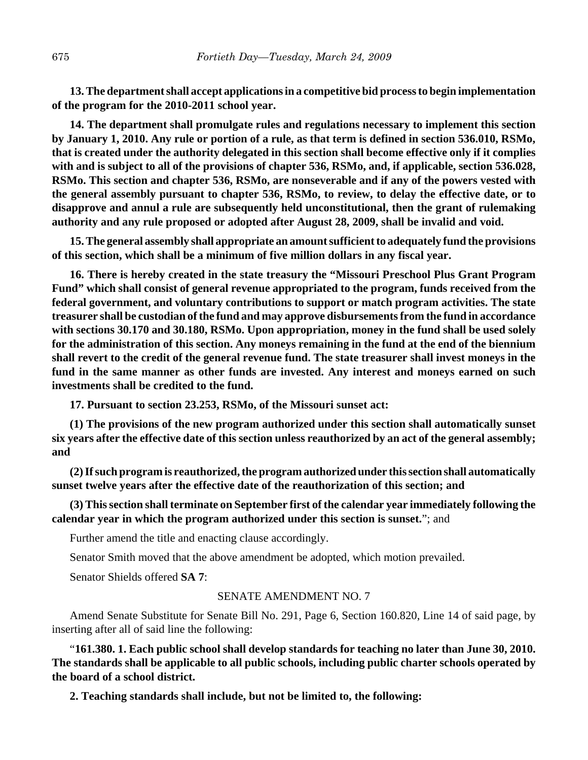**13. The department shall accept applications in a competitive bid process to begin implementation of the program for the 2010-2011 school year.**

**14. The department shall promulgate rules and regulations necessary to implement this section by January 1, 2010. Any rule or portion of a rule, as that term is defined in section 536.010, RSMo, that is created under the authority delegated in this section shall become effective only if it complies with and is subject to all of the provisions of chapter 536, RSMo, and, if applicable, section 536.028, RSMo. This section and chapter 536, RSMo, are nonseverable and if any of the powers vested with the general assembly pursuant to chapter 536, RSMo, to review, to delay the effective date, or to disapprove and annul a rule are subsequently held unconstitutional, then the grant of rulemaking authority and any rule proposed or adopted after August 28, 2009, shall be invalid and void.**

**15. The general assembly shall appropriate an amount sufficient to adequately fund the provisions of this section, which shall be a minimum of five million dollars in any fiscal year.**

**16. There is hereby created in the state treasury the "Missouri Preschool Plus Grant Program Fund" which shall consist of general revenue appropriated to the program, funds received from the federal government, and voluntary contributions to support or match program activities. The state treasurer shall be custodian of the fund and may approve disbursements from the fund in accordance with sections 30.170 and 30.180, RSMo. Upon appropriation, money in the fund shall be used solely for the administration of this section. Any moneys remaining in the fund at the end of the biennium shall revert to the credit of the general revenue fund. The state treasurer shall invest moneys in the fund in the same manner as other funds are invested. Any interest and moneys earned on such investments shall be credited to the fund.**

**17. Pursuant to section 23.253, RSMo, of the Missouri sunset act:**

**(1) The provisions of the new program authorized under this section shall automatically sunset six years after the effective date of this section unless reauthorized by an act of the general assembly; and**

**(2) If such program is reauthorized, the program authorized under this section shall automatically sunset twelve years after the effective date of the reauthorization of this section; and**

**(3) This section shall terminate on September first of the calendar year immediately following the calendar year in which the program authorized under this section is sunset.**"; and

Further amend the title and enacting clause accordingly.

Senator Smith moved that the above amendment be adopted, which motion prevailed.

Senator Shields offered **SA 7**:

## SENATE AMENDMENT NO. 7

Amend Senate Substitute for Senate Bill No. 291, Page 6, Section 160.820, Line 14 of said page, by inserting after all of said line the following:

"**161.380. 1. Each public school shall develop standards for teaching no later than June 30, 2010. The standards shall be applicable to all public schools, including public charter schools operated by the board of a school district.**

**2. Teaching standards shall include, but not be limited to, the following:**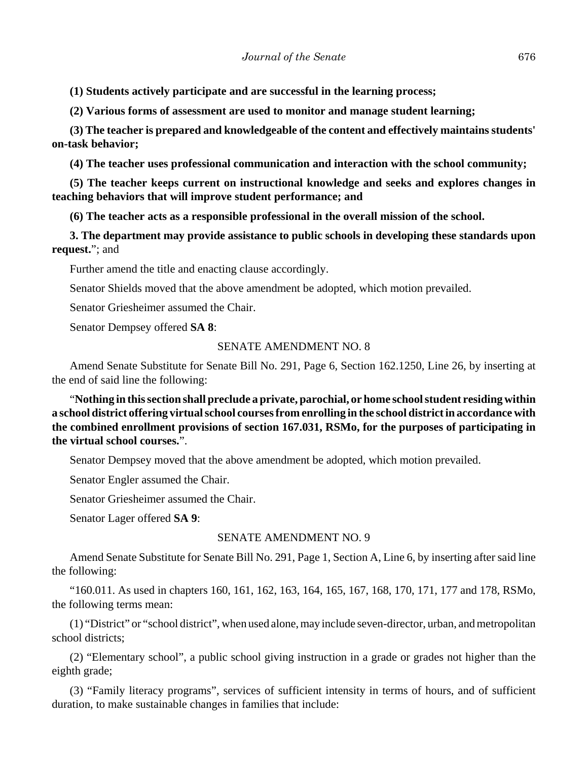**(1) Students actively participate and are successful in the learning process;**

**(2) Various forms of assessment are used to monitor and manage student learning;**

**(3) The teacher is prepared and knowledgeable of the content and effectively maintains students' on-task behavior;**

**(4) The teacher uses professional communication and interaction with the school community;**

**(5) The teacher keeps current on instructional knowledge and seeks and explores changes in teaching behaviors that will improve student performance; and**

**(6) The teacher acts as a responsible professional in the overall mission of the school.**

**3. The department may provide assistance to public schools in developing these standards upon request.**"; and

Further amend the title and enacting clause accordingly.

Senator Shields moved that the above amendment be adopted, which motion prevailed.

Senator Griesheimer assumed the Chair.

Senator Dempsey offered **SA 8**:

#### SENATE AMENDMENT NO. 8

Amend Senate Substitute for Senate Bill No. 291, Page 6, Section 162.1250, Line 26, by inserting at the end of said line the following:

"**Nothing in this section shall preclude a private, parochial, or home school student residing within a school district offering virtual school courses from enrolling in the school district in accordance with the combined enrollment provisions of section 167.031, RSMo, for the purposes of participating in the virtual school courses.**".

Senator Dempsey moved that the above amendment be adopted, which motion prevailed.

Senator Engler assumed the Chair.

Senator Griesheimer assumed the Chair.

Senator Lager offered **SA 9**:

# SENATE AMENDMENT NO. 9

Amend Senate Substitute for Senate Bill No. 291, Page 1, Section A, Line 6, by inserting after said line the following:

"160.011. As used in chapters 160, 161, 162, 163, 164, 165, 167, 168, 170, 171, 177 and 178, RSMo, the following terms mean:

(1) "District" or "school district", when used alone, may include seven-director, urban, and metropolitan school districts;

(2) "Elementary school", a public school giving instruction in a grade or grades not higher than the eighth grade;

(3) "Family literacy programs", services of sufficient intensity in terms of hours, and of sufficient duration, to make sustainable changes in families that include: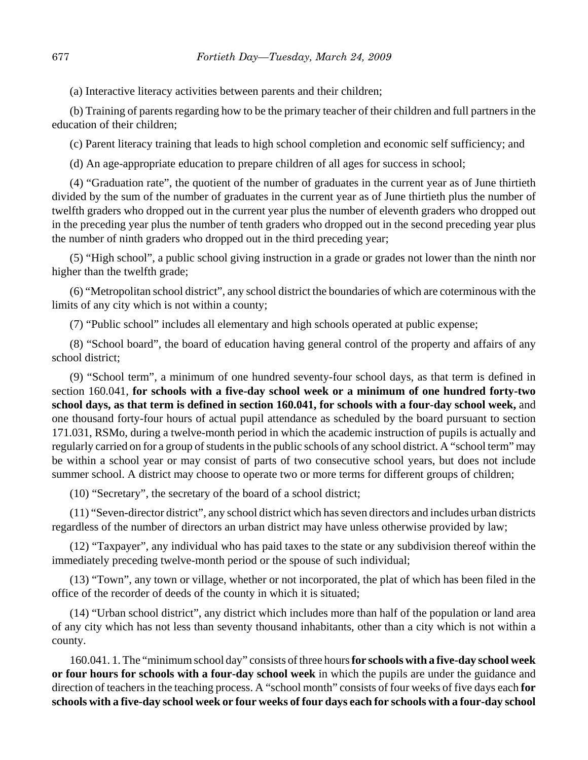(a) Interactive literacy activities between parents and their children;

(b) Training of parents regarding how to be the primary teacher of their children and full partners in the education of their children;

(c) Parent literacy training that leads to high school completion and economic self sufficiency; and

(d) An age-appropriate education to prepare children of all ages for success in school;

(4) "Graduation rate", the quotient of the number of graduates in the current year as of June thirtieth divided by the sum of the number of graduates in the current year as of June thirtieth plus the number of twelfth graders who dropped out in the current year plus the number of eleventh graders who dropped out in the preceding year plus the number of tenth graders who dropped out in the second preceding year plus the number of ninth graders who dropped out in the third preceding year;

(5) "High school", a public school giving instruction in a grade or grades not lower than the ninth nor higher than the twelfth grade;

(6) "Metropolitan school district", any school district the boundaries of which are coterminous with the limits of any city which is not within a county;

(7) "Public school" includes all elementary and high schools operated at public expense;

(8) "School board", the board of education having general control of the property and affairs of any school district;

(9) "School term", a minimum of one hundred seventy-four school days, as that term is defined in section 160.041, **for schools with a five-day school week or a minimum of one hundred forty-two school days, as that term is defined in section 160.041, for schools with a four-day school week,** and one thousand forty-four hours of actual pupil attendance as scheduled by the board pursuant to section 171.031, RSMo, during a twelve-month period in which the academic instruction of pupils is actually and regularly carried on for a group of students in the public schools of any school district. A "school term" may be within a school year or may consist of parts of two consecutive school years, but does not include summer school. A district may choose to operate two or more terms for different groups of children;

(10) "Secretary", the secretary of the board of a school district;

(11) "Seven-director district", any school district which has seven directors and includes urban districts regardless of the number of directors an urban district may have unless otherwise provided by law;

(12) "Taxpayer", any individual who has paid taxes to the state or any subdivision thereof within the immediately preceding twelve-month period or the spouse of such individual;

(13) "Town", any town or village, whether or not incorporated, the plat of which has been filed in the office of the recorder of deeds of the county in which it is situated;

(14) "Urban school district", any district which includes more than half of the population or land area of any city which has not less than seventy thousand inhabitants, other than a city which is not within a county.

160.041. 1. The "minimum school day" consists of three hours **for schools with a five-day school week or four hours for schools with a four-day school week** in which the pupils are under the guidance and direction of teachers in the teaching process. A "school month" consists of four weeks of five days each **for schools with a five-day school week or four weeks of four days each for schools with a four-day school**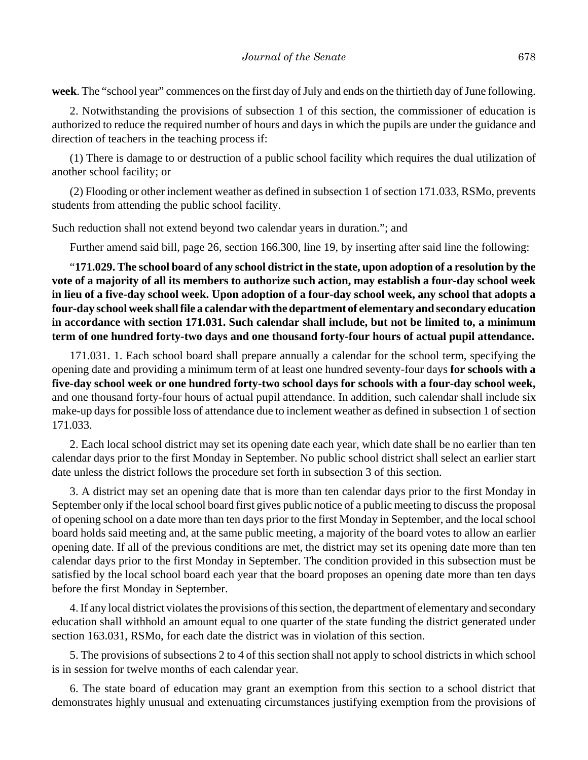**week**. The "school year" commences on the first day of July and ends on the thirtieth day of June following.

2. Notwithstanding the provisions of subsection 1 of this section, the commissioner of education is authorized to reduce the required number of hours and days in which the pupils are under the guidance and direction of teachers in the teaching process if:

(1) There is damage to or destruction of a public school facility which requires the dual utilization of another school facility; or

(2) Flooding or other inclement weather as defined in subsection 1 of section 171.033, RSMo, prevents students from attending the public school facility.

Such reduction shall not extend beyond two calendar years in duration."; and

Further amend said bill, page 26, section 166.300, line 19, by inserting after said line the following:

"**171.029. The school board of any school district in the state, upon adoption of a resolution by the vote of a majority of all its members to authorize such action, may establish a four-day school week in lieu of a five-day school week. Upon adoption of a four-day school week, any school that adopts a four-day school week shall file a calendar with the department of elementary and secondary education in accordance with section 171.031. Such calendar shall include, but not be limited to, a minimum term of one hundred forty-two days and one thousand forty-four hours of actual pupil attendance.**

171.031. 1. Each school board shall prepare annually a calendar for the school term, specifying the opening date and providing a minimum term of at least one hundred seventy-four days **for schools with a five-day school week or one hundred forty-two school days for schools with a four-day school week,** and one thousand forty-four hours of actual pupil attendance. In addition, such calendar shall include six make-up days for possible loss of attendance due to inclement weather as defined in subsection 1 of section 171.033.

2. Each local school district may set its opening date each year, which date shall be no earlier than ten calendar days prior to the first Monday in September. No public school district shall select an earlier start date unless the district follows the procedure set forth in subsection 3 of this section.

3. A district may set an opening date that is more than ten calendar days prior to the first Monday in September only if the local school board first gives public notice of a public meeting to discuss the proposal of opening school on a date more than ten days prior to the first Monday in September, and the local school board holds said meeting and, at the same public meeting, a majority of the board votes to allow an earlier opening date. If all of the previous conditions are met, the district may set its opening date more than ten calendar days prior to the first Monday in September. The condition provided in this subsection must be satisfied by the local school board each year that the board proposes an opening date more than ten days before the first Monday in September.

4. If any local district violates the provisions of this section, the department of elementary and secondary education shall withhold an amount equal to one quarter of the state funding the district generated under section 163.031, RSMo, for each date the district was in violation of this section.

5. The provisions of subsections 2 to 4 of this section shall not apply to school districts in which school is in session for twelve months of each calendar year.

6. The state board of education may grant an exemption from this section to a school district that demonstrates highly unusual and extenuating circumstances justifying exemption from the provisions of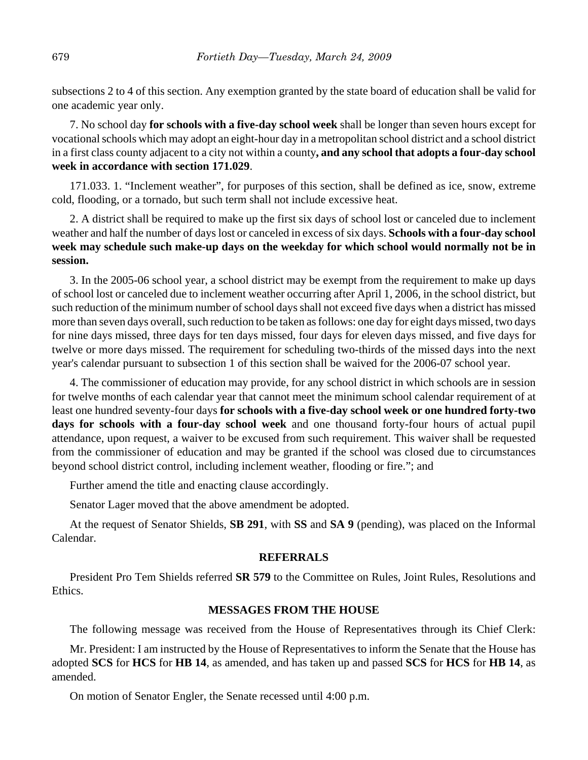subsections 2 to 4 of this section. Any exemption granted by the state board of education shall be valid for one academic year only.

7. No school day **for schools with a five-day school week** shall be longer than seven hours except for vocational schools which may adopt an eight-hour day in a metropolitan school district and a school district in a first class county adjacent to a city not within a county**, and any school that adopts a four-day school week in accordance with section 171.029**.

171.033. 1. "Inclement weather", for purposes of this section, shall be defined as ice, snow, extreme cold, flooding, or a tornado, but such term shall not include excessive heat.

2. A district shall be required to make up the first six days of school lost or canceled due to inclement weather and half the number of days lost or canceled in excess of six days. **Schools with a four-day school week may schedule such make-up days on the weekday for which school would normally not be in session.**

3. In the 2005-06 school year, a school district may be exempt from the requirement to make up days of school lost or canceled due to inclement weather occurring after April 1, 2006, in the school district, but such reduction of the minimum number of school days shall not exceed five days when a district has missed more than seven days overall, such reduction to be taken as follows: one day for eight days missed, two days for nine days missed, three days for ten days missed, four days for eleven days missed, and five days for twelve or more days missed. The requirement for scheduling two-thirds of the missed days into the next year's calendar pursuant to subsection 1 of this section shall be waived for the 2006-07 school year.

4. The commissioner of education may provide, for any school district in which schools are in session for twelve months of each calendar year that cannot meet the minimum school calendar requirement of at least one hundred seventy-four days **for schools with a five-day school week or one hundred forty-two days for schools with a four-day school week** and one thousand forty-four hours of actual pupil attendance, upon request, a waiver to be excused from such requirement. This waiver shall be requested from the commissioner of education and may be granted if the school was closed due to circumstances beyond school district control, including inclement weather, flooding or fire."; and

Further amend the title and enacting clause accordingly.

Senator Lager moved that the above amendment be adopted.

At the request of Senator Shields, **SB 291**, with **SS** and **SA 9** (pending), was placed on the Informal Calendar.

## **REFERRALS**

President Pro Tem Shields referred **SR 579** to the Committee on Rules, Joint Rules, Resolutions and Ethics.

# **MESSAGES FROM THE HOUSE**

The following message was received from the House of Representatives through its Chief Clerk:

Mr. President: I am instructed by the House of Representatives to inform the Senate that the House has adopted **SCS** for **HCS** for **HB 14**, as amended, and has taken up and passed **SCS** for **HCS** for **HB 14**, as amended.

On motion of Senator Engler, the Senate recessed until 4:00 p.m.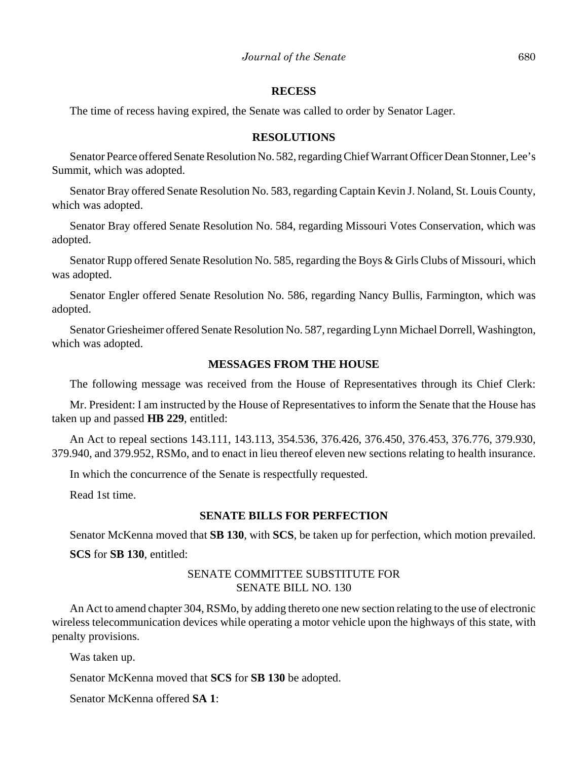#### **RECESS**

The time of recess having expired, the Senate was called to order by Senator Lager.

## **RESOLUTIONS**

Senator Pearce offered Senate Resolution No. 582, regarding Chief Warrant Officer Dean Stonner, Lee's Summit, which was adopted.

Senator Bray offered Senate Resolution No. 583, regarding Captain Kevin J. Noland, St. Louis County, which was adopted.

Senator Bray offered Senate Resolution No. 584, regarding Missouri Votes Conservation, which was adopted.

Senator Rupp offered Senate Resolution No. 585, regarding the Boys & Girls Clubs of Missouri, which was adopted.

Senator Engler offered Senate Resolution No. 586, regarding Nancy Bullis, Farmington, which was adopted.

Senator Griesheimer offered Senate Resolution No. 587, regarding Lynn Michael Dorrell, Washington, which was adopted.

# **MESSAGES FROM THE HOUSE**

The following message was received from the House of Representatives through its Chief Clerk:

Mr. President: I am instructed by the House of Representatives to inform the Senate that the House has taken up and passed **HB 229**, entitled:

An Act to repeal sections 143.111, 143.113, 354.536, 376.426, 376.450, 376.453, 376.776, 379.930, 379.940, and 379.952, RSMo, and to enact in lieu thereof eleven new sections relating to health insurance.

In which the concurrence of the Senate is respectfully requested.

Read 1st time.

#### **SENATE BILLS FOR PERFECTION**

Senator McKenna moved that **SB 130**, with **SCS**, be taken up for perfection, which motion prevailed. **SCS** for **SB 130**, entitled:

# SENATE COMMITTEE SUBSTITUTE FOR SENATE BILL NO. 130

An Act to amend chapter 304, RSMo, by adding thereto one new section relating to the use of electronic wireless telecommunication devices while operating a motor vehicle upon the highways of this state, with penalty provisions.

Was taken up.

Senator McKenna moved that **SCS** for **SB 130** be adopted.

Senator McKenna offered **SA 1**: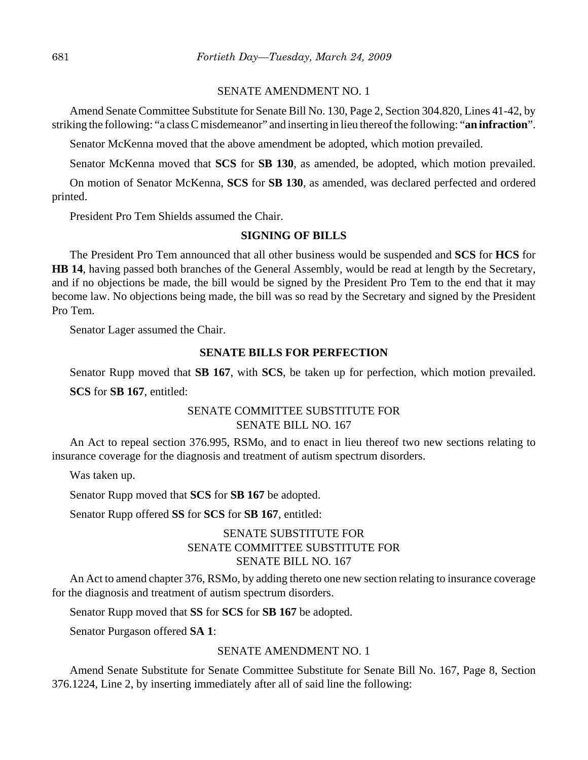## SENATE AMENDMENT NO. 1

Amend Senate Committee Substitute for Senate Bill No. 130, Page 2, Section 304.820, Lines 41-42, by striking the following: "a class C misdemeanor" and inserting in lieu thereof the following: "**an infraction**".

Senator McKenna moved that the above amendment be adopted, which motion prevailed.

Senator McKenna moved that **SCS** for **SB 130**, as amended, be adopted, which motion prevailed.

On motion of Senator McKenna, **SCS** for **SB 130**, as amended, was declared perfected and ordered printed.

President Pro Tem Shields assumed the Chair.

## **SIGNING OF BILLS**

The President Pro Tem announced that all other business would be suspended and **SCS** for **HCS** for **HB 14**, having passed both branches of the General Assembly, would be read at length by the Secretary, and if no objections be made, the bill would be signed by the President Pro Tem to the end that it may become law. No objections being made, the bill was so read by the Secretary and signed by the President Pro Tem.

Senator Lager assumed the Chair.

#### **SENATE BILLS FOR PERFECTION**

Senator Rupp moved that **SB 167**, with **SCS**, be taken up for perfection, which motion prevailed.

**SCS** for **SB 167**, entitled:

# SENATE COMMITTEE SUBSTITUTE FOR SENATE BILL NO. 167

An Act to repeal section 376.995, RSMo, and to enact in lieu thereof two new sections relating to insurance coverage for the diagnosis and treatment of autism spectrum disorders.

Was taken up.

Senator Rupp moved that **SCS** for **SB 167** be adopted.

Senator Rupp offered **SS** for **SCS** for **SB 167**, entitled:

# SENATE SUBSTITUTE FOR SENATE COMMITTEE SUBSTITUTE FOR SENATE BILL NO. 167

An Act to amend chapter 376, RSMo, by adding thereto one new section relating to insurance coverage for the diagnosis and treatment of autism spectrum disorders.

Senator Rupp moved that **SS** for **SCS** for **SB 167** be adopted.

Senator Purgason offered **SA 1**:

# SENATE AMENDMENT NO. 1

Amend Senate Substitute for Senate Committee Substitute for Senate Bill No. 167, Page 8, Section 376.1224, Line 2, by inserting immediately after all of said line the following: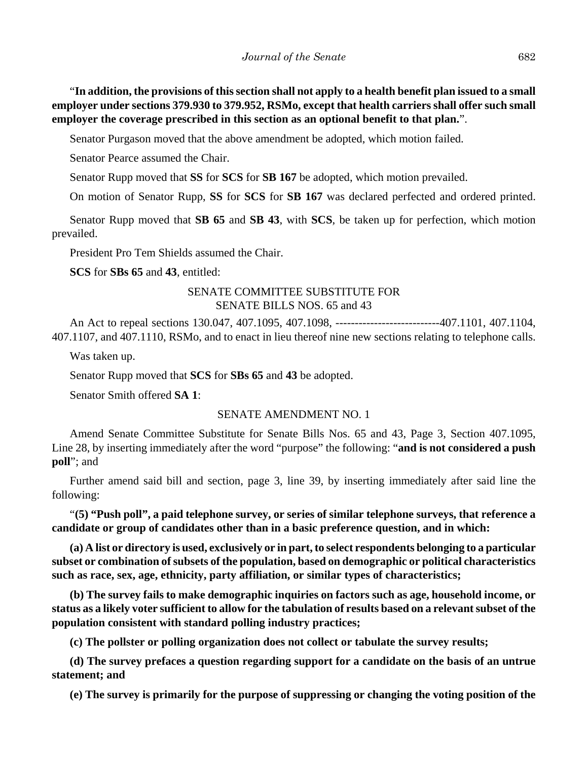"**In addition, the provisions of this section shall not apply to a health benefit plan issued to a small employer under sections 379.930 to 379.952, RSMo, except that health carriers shall offer such small employer the coverage prescribed in this section as an optional benefit to that plan.**".

Senator Purgason moved that the above amendment be adopted, which motion failed.

Senator Pearce assumed the Chair.

Senator Rupp moved that **SS** for **SCS** for **SB 167** be adopted, which motion prevailed.

On motion of Senator Rupp, **SS** for **SCS** for **SB 167** was declared perfected and ordered printed.

Senator Rupp moved that **SB 65** and **SB 43**, with **SCS**, be taken up for perfection, which motion prevailed.

President Pro Tem Shields assumed the Chair.

**SCS** for **SBs 65** and **43**, entitled:

# SENATE COMMITTEE SUBSTITUTE FOR SENATE BILLS NOS. 65 and 43

An Act to repeal sections 130.047, 407.1095, 407.1098, ---------------------------407.1101, 407.1104, 407.1107, and 407.1110, RSMo, and to enact in lieu thereof nine new sections relating to telephone calls.

Was taken up.

Senator Rupp moved that **SCS** for **SBs 65** and **43** be adopted.

Senator Smith offered **SA 1**:

# SENATE AMENDMENT NO. 1

Amend Senate Committee Substitute for Senate Bills Nos. 65 and 43, Page 3, Section 407.1095, Line 28, by inserting immediately after the word "purpose" the following: "**and is not considered a push poll**"; and

Further amend said bill and section, page 3, line 39, by inserting immediately after said line the following:

"**(5) "Push poll", a paid telephone survey, or series of similar telephone surveys, that reference a candidate or group of candidates other than in a basic preference question, and in which:**

**(a) A list or directory is used, exclusively or in part, to select respondents belonging to a particular subset or combination of subsets of the population, based on demographic or political characteristics such as race, sex, age, ethnicity, party affiliation, or similar types of characteristics;**

**(b) The survey fails to make demographic inquiries on factors such as age, household income, or status as a likely voter sufficient to allow for the tabulation of results based on a relevant subset of the population consistent with standard polling industry practices;**

**(c) The pollster or polling organization does not collect or tabulate the survey results;**

**(d) The survey prefaces a question regarding support for a candidate on the basis of an untrue statement; and**

**(e) The survey is primarily for the purpose of suppressing or changing the voting position of the**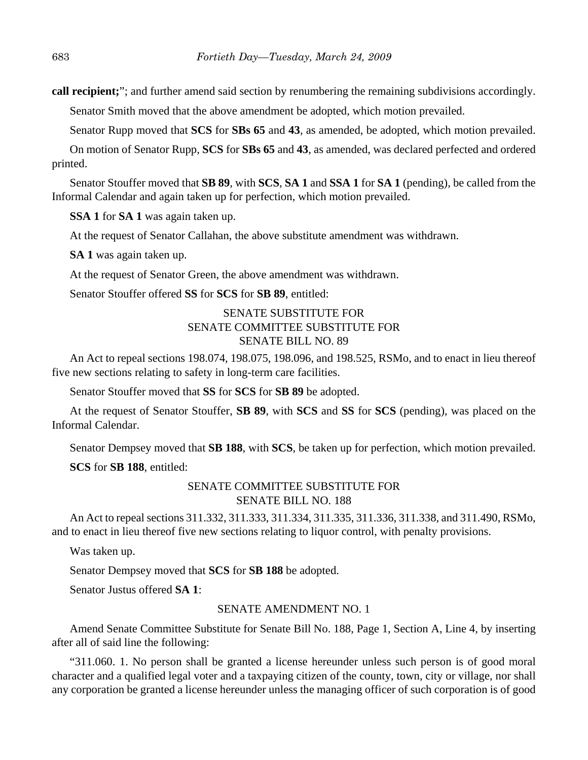**call recipient;**"; and further amend said section by renumbering the remaining subdivisions accordingly.

Senator Smith moved that the above amendment be adopted, which motion prevailed.

Senator Rupp moved that **SCS** for **SBs 65** and **43**, as amended, be adopted, which motion prevailed.

On motion of Senator Rupp, **SCS** for **SBs 65** and **43**, as amended, was declared perfected and ordered printed.

Senator Stouffer moved that **SB 89**, with **SCS**, **SA 1** and **SSA 1** for **SA 1** (pending), be called from the Informal Calendar and again taken up for perfection, which motion prevailed.

**SSA 1** for **SA 1** was again taken up.

At the request of Senator Callahan, the above substitute amendment was withdrawn.

**SA 1** was again taken up.

At the request of Senator Green, the above amendment was withdrawn.

Senator Stouffer offered **SS** for **SCS** for **SB 89**, entitled:

# SENATE SUBSTITUTE FOR SENATE COMMITTEE SUBSTITUTE FOR SENATE BILL NO. 89

An Act to repeal sections 198.074, 198.075, 198.096, and 198.525, RSMo, and to enact in lieu thereof five new sections relating to safety in long-term care facilities.

Senator Stouffer moved that **SS** for **SCS** for **SB 89** be adopted.

At the request of Senator Stouffer, **SB 89**, with **SCS** and **SS** for **SCS** (pending), was placed on the Informal Calendar.

Senator Dempsey moved that **SB 188**, with **SCS**, be taken up for perfection, which motion prevailed.

**SCS** for **SB 188**, entitled:

# SENATE COMMITTEE SUBSTITUTE FOR SENATE BILL NO. 188

An Act to repeal sections 311.332, 311.333, 311.334, 311.335, 311.336, 311.338, and 311.490, RSMo, and to enact in lieu thereof five new sections relating to liquor control, with penalty provisions.

Was taken up.

Senator Dempsey moved that **SCS** for **SB 188** be adopted.

Senator Justus offered **SA 1**:

## SENATE AMENDMENT NO. 1

Amend Senate Committee Substitute for Senate Bill No. 188, Page 1, Section A, Line 4, by inserting after all of said line the following:

"311.060. 1. No person shall be granted a license hereunder unless such person is of good moral character and a qualified legal voter and a taxpaying citizen of the county, town, city or village, nor shall any corporation be granted a license hereunder unless the managing officer of such corporation is of good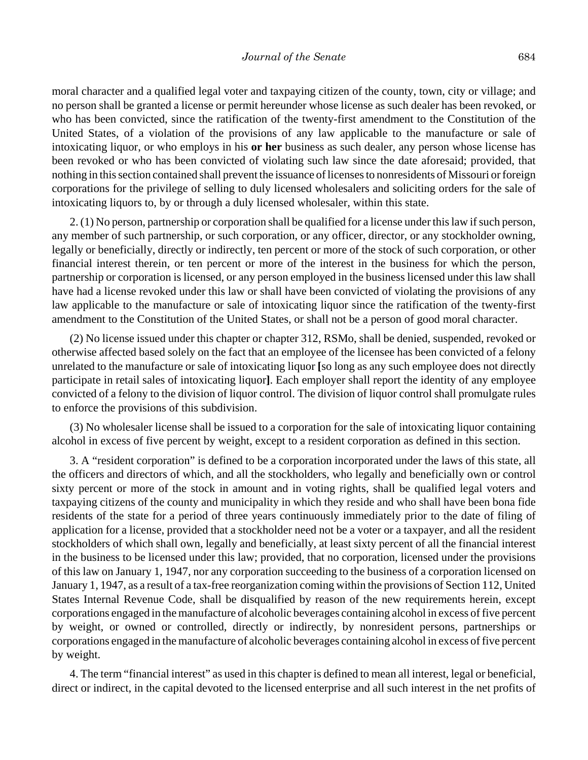moral character and a qualified legal voter and taxpaying citizen of the county, town, city or village; and no person shall be granted a license or permit hereunder whose license as such dealer has been revoked, or who has been convicted, since the ratification of the twenty-first amendment to the Constitution of the United States, of a violation of the provisions of any law applicable to the manufacture or sale of intoxicating liquor, or who employs in his **or her** business as such dealer, any person whose license has been revoked or who has been convicted of violating such law since the date aforesaid; provided, that nothing in this section contained shall prevent the issuance of licenses to nonresidents of Missouri or foreign corporations for the privilege of selling to duly licensed wholesalers and soliciting orders for the sale of intoxicating liquors to, by or through a duly licensed wholesaler, within this state.

2. (1) No person, partnership or corporation shall be qualified for a license under this law if such person, any member of such partnership, or such corporation, or any officer, director, or any stockholder owning, legally or beneficially, directly or indirectly, ten percent or more of the stock of such corporation, or other financial interest therein, or ten percent or more of the interest in the business for which the person, partnership or corporation is licensed, or any person employed in the business licensed under this law shall have had a license revoked under this law or shall have been convicted of violating the provisions of any law applicable to the manufacture or sale of intoxicating liquor since the ratification of the twenty-first amendment to the Constitution of the United States, or shall not be a person of good moral character.

(2) No license issued under this chapter or chapter 312, RSMo, shall be denied, suspended, revoked or otherwise affected based solely on the fact that an employee of the licensee has been convicted of a felony unrelated to the manufacture or sale of intoxicating liquor **[**so long as any such employee does not directly participate in retail sales of intoxicating liquor**]**. Each employer shall report the identity of any employee convicted of a felony to the division of liquor control. The division of liquor control shall promulgate rules to enforce the provisions of this subdivision.

(3) No wholesaler license shall be issued to a corporation for the sale of intoxicating liquor containing alcohol in excess of five percent by weight, except to a resident corporation as defined in this section.

3. A "resident corporation" is defined to be a corporation incorporated under the laws of this state, all the officers and directors of which, and all the stockholders, who legally and beneficially own or control sixty percent or more of the stock in amount and in voting rights, shall be qualified legal voters and taxpaying citizens of the county and municipality in which they reside and who shall have been bona fide residents of the state for a period of three years continuously immediately prior to the date of filing of application for a license, provided that a stockholder need not be a voter or a taxpayer, and all the resident stockholders of which shall own, legally and beneficially, at least sixty percent of all the financial interest in the business to be licensed under this law; provided, that no corporation, licensed under the provisions of this law on January 1, 1947, nor any corporation succeeding to the business of a corporation licensed on January 1, 1947, as a result of a tax-free reorganization coming within the provisions of Section 112, United States Internal Revenue Code, shall be disqualified by reason of the new requirements herein, except corporations engaged in the manufacture of alcoholic beverages containing alcohol in excess of five percent by weight, or owned or controlled, directly or indirectly, by nonresident persons, partnerships or corporations engaged in the manufacture of alcoholic beverages containing alcohol in excess of five percent by weight.

4. The term "financial interest" as used in this chapter is defined to mean all interest, legal or beneficial, direct or indirect, in the capital devoted to the licensed enterprise and all such interest in the net profits of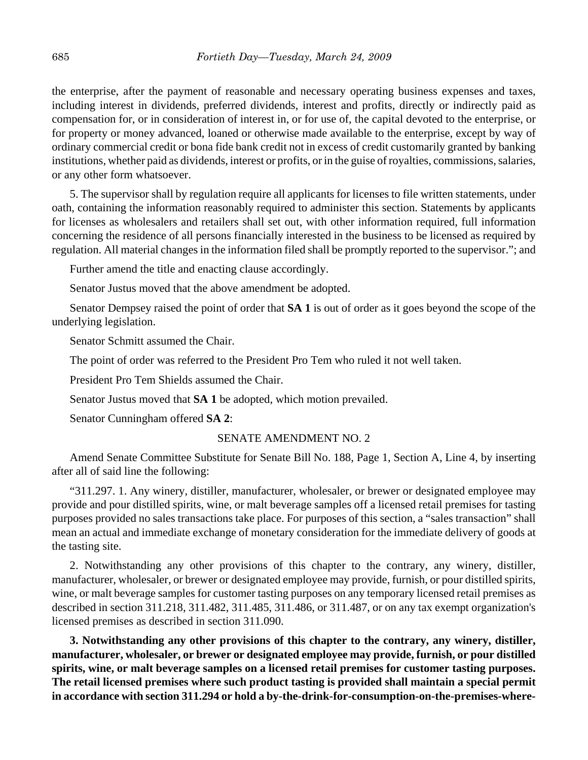the enterprise, after the payment of reasonable and necessary operating business expenses and taxes, including interest in dividends, preferred dividends, interest and profits, directly or indirectly paid as compensation for, or in consideration of interest in, or for use of, the capital devoted to the enterprise, or for property or money advanced, loaned or otherwise made available to the enterprise, except by way of ordinary commercial credit or bona fide bank credit not in excess of credit customarily granted by banking institutions, whether paid as dividends, interest or profits, or in the guise of royalties, commissions, salaries, or any other form whatsoever.

5. The supervisor shall by regulation require all applicants for licenses to file written statements, under oath, containing the information reasonably required to administer this section. Statements by applicants for licenses as wholesalers and retailers shall set out, with other information required, full information concerning the residence of all persons financially interested in the business to be licensed as required by regulation. All material changes in the information filed shall be promptly reported to the supervisor."; and

Further amend the title and enacting clause accordingly.

Senator Justus moved that the above amendment be adopted.

Senator Dempsey raised the point of order that **SA 1** is out of order as it goes beyond the scope of the underlying legislation.

Senator Schmitt assumed the Chair.

The point of order was referred to the President Pro Tem who ruled it not well taken.

President Pro Tem Shields assumed the Chair.

Senator Justus moved that **SA 1** be adopted, which motion prevailed.

Senator Cunningham offered **SA 2**:

## SENATE AMENDMENT NO. 2

Amend Senate Committee Substitute for Senate Bill No. 188, Page 1, Section A, Line 4, by inserting after all of said line the following:

"311.297. 1. Any winery, distiller, manufacturer, wholesaler, or brewer or designated employee may provide and pour distilled spirits, wine, or malt beverage samples off a licensed retail premises for tasting purposes provided no sales transactions take place. For purposes of this section, a "sales transaction" shall mean an actual and immediate exchange of monetary consideration for the immediate delivery of goods at the tasting site.

2. Notwithstanding any other provisions of this chapter to the contrary, any winery, distiller, manufacturer, wholesaler, or brewer or designated employee may provide, furnish, or pour distilled spirits, wine, or malt beverage samples for customer tasting purposes on any temporary licensed retail premises as described in section 311.218, 311.482, 311.485, 311.486, or 311.487, or on any tax exempt organization's licensed premises as described in section 311.090.

**3. Notwithstanding any other provisions of this chapter to the contrary, any winery, distiller, manufacturer, wholesaler, or brewer or designated employee may provide, furnish, or pour distilled spirits, wine, or malt beverage samples on a licensed retail premises for customer tasting purposes. The retail licensed premises where such product tasting is provided shall maintain a special permit in accordance with section 311.294 or hold a by-the-drink-for-consumption-on-the-premises-where-**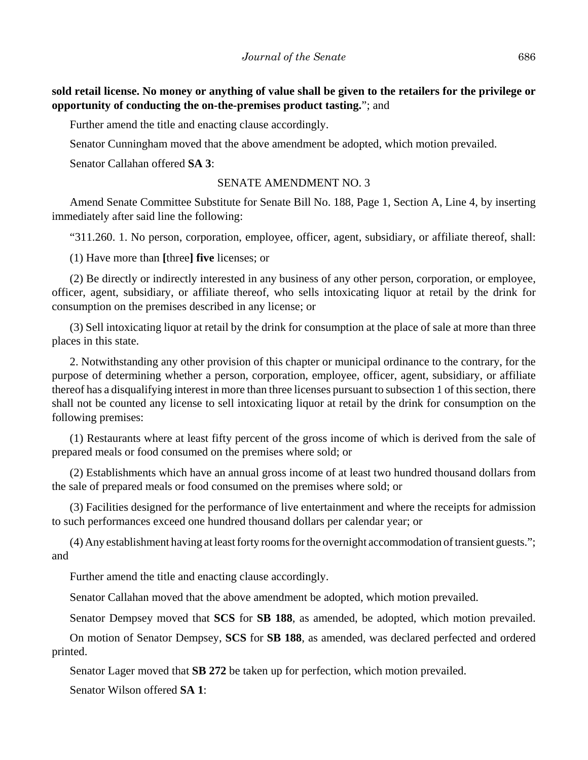**sold retail license. No money or anything of value shall be given to the retailers for the privilege or opportunity of conducting the on-the-premises product tasting.**"; and

Further amend the title and enacting clause accordingly.

Senator Cunningham moved that the above amendment be adopted, which motion prevailed.

Senator Callahan offered **SA 3**:

## SENATE AMENDMENT NO. 3

Amend Senate Committee Substitute for Senate Bill No. 188, Page 1, Section A, Line 4, by inserting immediately after said line the following:

"311.260. 1. No person, corporation, employee, officer, agent, subsidiary, or affiliate thereof, shall:

(1) Have more than **[**three**] five** licenses; or

(2) Be directly or indirectly interested in any business of any other person, corporation, or employee, officer, agent, subsidiary, or affiliate thereof, who sells intoxicating liquor at retail by the drink for consumption on the premises described in any license; or

(3) Sell intoxicating liquor at retail by the drink for consumption at the place of sale at more than three places in this state.

2. Notwithstanding any other provision of this chapter or municipal ordinance to the contrary, for the purpose of determining whether a person, corporation, employee, officer, agent, subsidiary, or affiliate thereof has a disqualifying interest in more than three licenses pursuant to subsection 1 of this section, there shall not be counted any license to sell intoxicating liquor at retail by the drink for consumption on the following premises:

(1) Restaurants where at least fifty percent of the gross income of which is derived from the sale of prepared meals or food consumed on the premises where sold; or

(2) Establishments which have an annual gross income of at least two hundred thousand dollars from the sale of prepared meals or food consumed on the premises where sold; or

(3) Facilities designed for the performance of live entertainment and where the receipts for admission to such performances exceed one hundred thousand dollars per calendar year; or

(4) Any establishment having at least forty rooms for the overnight accommodation of transient guests."; and

Further amend the title and enacting clause accordingly.

Senator Callahan moved that the above amendment be adopted, which motion prevailed.

Senator Dempsey moved that **SCS** for **SB 188**, as amended, be adopted, which motion prevailed.

On motion of Senator Dempsey, **SCS** for **SB 188**, as amended, was declared perfected and ordered printed.

Senator Lager moved that **SB 272** be taken up for perfection, which motion prevailed.

Senator Wilson offered **SA 1**: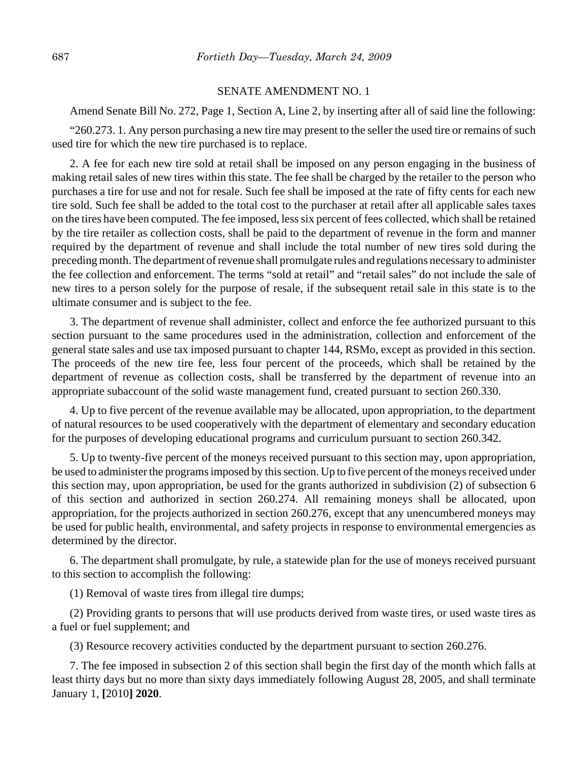#### SENATE AMENDMENT NO. 1

Amend Senate Bill No. 272, Page 1, Section A, Line 2, by inserting after all of said line the following:

"260.273. 1. Any person purchasing a new tire may present to the seller the used tire or remains of such used tire for which the new tire purchased is to replace.

2. A fee for each new tire sold at retail shall be imposed on any person engaging in the business of making retail sales of new tires within this state. The fee shall be charged by the retailer to the person who purchases a tire for use and not for resale. Such fee shall be imposed at the rate of fifty cents for each new tire sold. Such fee shall be added to the total cost to the purchaser at retail after all applicable sales taxes on the tires have been computed. The fee imposed, less six percent of fees collected, which shall be retained by the tire retailer as collection costs, shall be paid to the department of revenue in the form and manner required by the department of revenue and shall include the total number of new tires sold during the preceding month. The department of revenue shall promulgate rules and regulations necessary to administer the fee collection and enforcement. The terms "sold at retail" and "retail sales" do not include the sale of new tires to a person solely for the purpose of resale, if the subsequent retail sale in this state is to the ultimate consumer and is subject to the fee.

3. The department of revenue shall administer, collect and enforce the fee authorized pursuant to this section pursuant to the same procedures used in the administration, collection and enforcement of the general state sales and use tax imposed pursuant to chapter 144, RSMo, except as provided in this section. The proceeds of the new tire fee, less four percent of the proceeds, which shall be retained by the department of revenue as collection costs, shall be transferred by the department of revenue into an appropriate subaccount of the solid waste management fund, created pursuant to section 260.330.

4. Up to five percent of the revenue available may be allocated, upon appropriation, to the department of natural resources to be used cooperatively with the department of elementary and secondary education for the purposes of developing educational programs and curriculum pursuant to section 260.342.

5. Up to twenty-five percent of the moneys received pursuant to this section may, upon appropriation, be used to administer the programs imposed by this section. Up to five percent of the moneys received under this section may, upon appropriation, be used for the grants authorized in subdivision (2) of subsection 6 of this section and authorized in section 260.274. All remaining moneys shall be allocated, upon appropriation, for the projects authorized in section 260.276, except that any unencumbered moneys may be used for public health, environmental, and safety projects in response to environmental emergencies as determined by the director.

6. The department shall promulgate, by rule, a statewide plan for the use of moneys received pursuant to this section to accomplish the following:

(1) Removal of waste tires from illegal tire dumps;

(2) Providing grants to persons that will use products derived from waste tires, or used waste tires as a fuel or fuel supplement; and

(3) Resource recovery activities conducted by the department pursuant to section 260.276.

7. The fee imposed in subsection 2 of this section shall begin the first day of the month which falls at least thirty days but no more than sixty days immediately following August 28, 2005, and shall terminate January 1, **[**2010**] 2020**.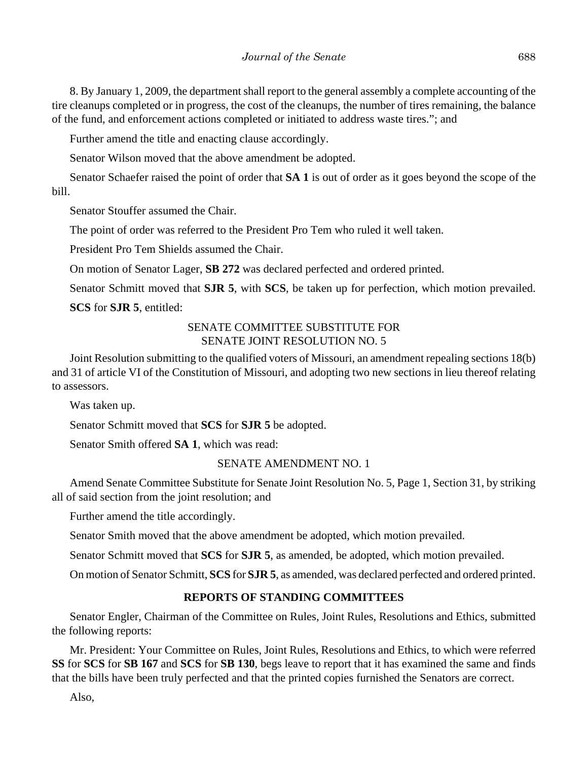8. By January 1, 2009, the department shall report to the general assembly a complete accounting of the tire cleanups completed or in progress, the cost of the cleanups, the number of tires remaining, the balance of the fund, and enforcement actions completed or initiated to address waste tires."; and

Further amend the title and enacting clause accordingly.

Senator Wilson moved that the above amendment be adopted.

Senator Schaefer raised the point of order that **SA 1** is out of order as it goes beyond the scope of the bill.

Senator Stouffer assumed the Chair.

The point of order was referred to the President Pro Tem who ruled it well taken.

President Pro Tem Shields assumed the Chair.

On motion of Senator Lager, **SB 272** was declared perfected and ordered printed.

Senator Schmitt moved that **SJR 5**, with **SCS**, be taken up for perfection, which motion prevailed.

**SCS** for **SJR 5**, entitled:

# SENATE COMMITTEE SUBSTITUTE FOR SENATE JOINT RESOLUTION NO. 5

Joint Resolution submitting to the qualified voters of Missouri, an amendment repealing sections 18(b) and 31 of article VI of the Constitution of Missouri, and adopting two new sections in lieu thereof relating to assessors.

Was taken up.

Senator Schmitt moved that **SCS** for **SJR 5** be adopted.

Senator Smith offered **SA 1**, which was read:

# SENATE AMENDMENT NO. 1

Amend Senate Committee Substitute for Senate Joint Resolution No. 5, Page 1, Section 31, by striking all of said section from the joint resolution; and

Further amend the title accordingly.

Senator Smith moved that the above amendment be adopted, which motion prevailed.

Senator Schmitt moved that **SCS** for **SJR 5**, as amended, be adopted, which motion prevailed.

On motion of Senator Schmitt, **SCS** for **SJR 5**, as amended, was declared perfected and ordered printed.

# **REPORTS OF STANDING COMMITTEES**

Senator Engler, Chairman of the Committee on Rules, Joint Rules, Resolutions and Ethics, submitted the following reports:

Mr. President: Your Committee on Rules, Joint Rules, Resolutions and Ethics, to which were referred **SS** for **SCS** for **SB 167** and **SCS** for **SB 130**, begs leave to report that it has examined the same and finds that the bills have been truly perfected and that the printed copies furnished the Senators are correct.

Also,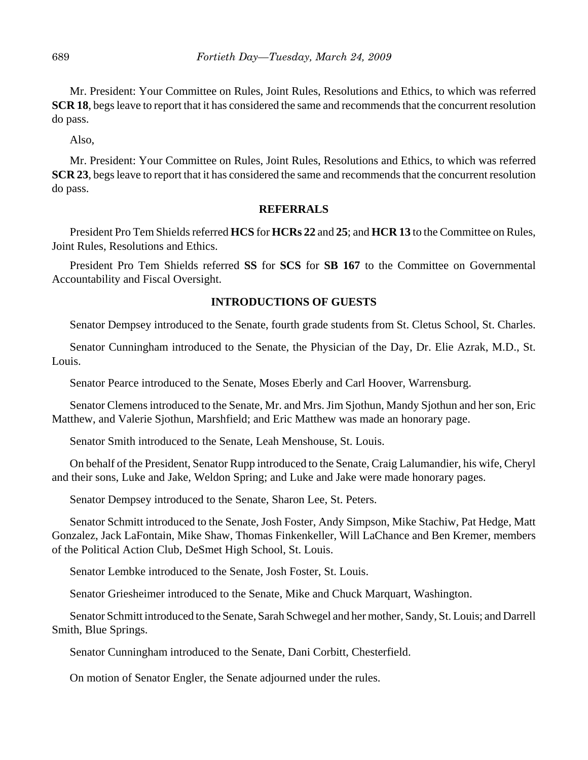Mr. President: Your Committee on Rules, Joint Rules, Resolutions and Ethics, to which was referred **SCR 18**, begs leave to report that it has considered the same and recommends that the concurrent resolution do pass.

Also,

Mr. President: Your Committee on Rules, Joint Rules, Resolutions and Ethics, to which was referred **SCR 23**, begs leave to report that it has considered the same and recommends that the concurrent resolution do pass.

## **REFERRALS**

President Pro Tem Shields referred **HCS** for **HCRs 22** and **25**; and **HCR 13** to the Committee on Rules, Joint Rules, Resolutions and Ethics.

President Pro Tem Shields referred **SS** for **SCS** for **SB 167** to the Committee on Governmental Accountability and Fiscal Oversight.

# **INTRODUCTIONS OF GUESTS**

Senator Dempsey introduced to the Senate, fourth grade students from St. Cletus School, St. Charles.

Senator Cunningham introduced to the Senate, the Physician of the Day, Dr. Elie Azrak, M.D., St. Louis.

Senator Pearce introduced to the Senate, Moses Eberly and Carl Hoover, Warrensburg.

Senator Clemens introduced to the Senate, Mr. and Mrs. Jim Sjothun, Mandy Sjothun and her son, Eric Matthew, and Valerie Sjothun, Marshfield; and Eric Matthew was made an honorary page.

Senator Smith introduced to the Senate, Leah Menshouse, St. Louis.

On behalf of the President, Senator Rupp introduced to the Senate, Craig Lalumandier, his wife, Cheryl and their sons, Luke and Jake, Weldon Spring; and Luke and Jake were made honorary pages.

Senator Dempsey introduced to the Senate, Sharon Lee, St. Peters.

Senator Schmitt introduced to the Senate, Josh Foster, Andy Simpson, Mike Stachiw, Pat Hedge, Matt Gonzalez, Jack LaFontain, Mike Shaw, Thomas Finkenkeller, Will LaChance and Ben Kremer, members of the Political Action Club, DeSmet High School, St. Louis.

Senator Lembke introduced to the Senate, Josh Foster, St. Louis.

Senator Griesheimer introduced to the Senate, Mike and Chuck Marquart, Washington.

Senator Schmitt introduced to the Senate, Sarah Schwegel and her mother, Sandy, St. Louis; and Darrell Smith, Blue Springs.

Senator Cunningham introduced to the Senate, Dani Corbitt, Chesterfield.

On motion of Senator Engler, the Senate adjourned under the rules.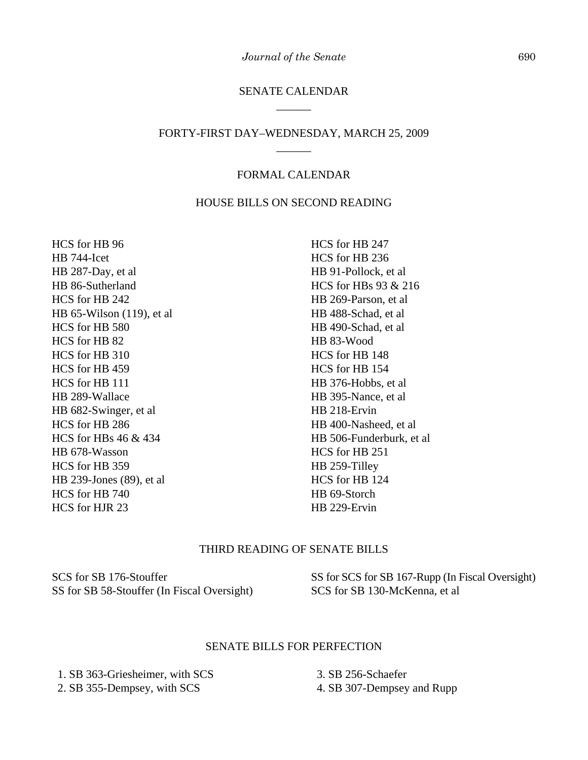# SENATE CALENDAR \_\_\_\_\_\_

# FORTY-FIRST DAY–WEDNESDAY, MARCH 25, 2009 \_\_\_\_\_\_

# FORMAL CALENDAR

# HOUSE BILLS ON SECOND READING

HCS for HB 96 HB 744-Icet HB 287-Day, et al HB 86-Sutherland HCS for HB 242 HB 65-Wilson (119), et al HCS for HB 580 HCS for HB 82 HCS for HB 310 HCS for HB 459 HCS for HB 111 HB 289-Wallace HB 682-Swinger, et al HCS for HB 286 HCS for HBs 46 & 434 HB 678-Wasson HCS for HB 359 HB 239-Jones (89), et al HCS for HB 740 HCS for HJR 23

HCS for HB 247 HCS for HB 236 HB 91-Pollock, et al HCS for HBs 93 & 216 HB 269-Parson, et al HB 488-Schad, et al HB 490-Schad, et al HB 83-Wood HCS for HB 148 HCS for HB 154 HB 376-Hobbs, et al HB 395-Nance, et al HB 218-Ervin HB 400-Nasheed, et al HB 506-Funderburk, et al HCS for HB 251 HB 259-Tilley HCS for HB 124 HB 69-Storch HB 229-Ervin

# THIRD READING OF SENATE BILLS

SCS for SB 176-Stouffer SS for SB 58-Stouffer (In Fiscal Oversight)

SS for SCS for SB 167-Rupp (In Fiscal Oversight) SCS for SB 130-McKenna, et al

#### SENATE BILLS FOR PERFECTION

 1. SB 363-Griesheimer, with SCS 2. SB 355-Dempsey, with SCS

 3. SB 256-Schaefer 4. SB 307-Dempsey and Rupp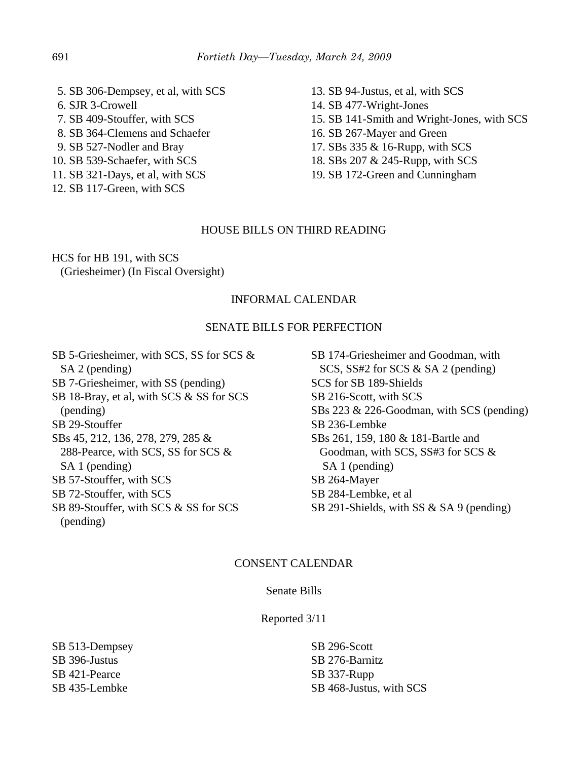5. SB 306-Dempsey, et al, with SCS 6. SJR 3-Crowell 7. SB 409-Stouffer, with SCS 8. SB 364-Clemens and Schaefer 9. SB 527-Nodler and Bray 10. SB 539-Schaefer, with SCS 11. SB 321-Days, et al, with SCS

12. SB 117-Green, with SCS

13. SB 94-Justus, et al, with SCS 14. SB 477-Wright-Jones 15. SB 141-Smith and Wright-Jones, with SCS 16. SB 267-Mayer and Green 17. SBs 335 & 16-Rupp, with SCS 18. SBs 207 & 245-Rupp, with SCS 19. SB 172-Green and Cunningham

# HOUSE BILLS ON THIRD READING

HCS for HB 191, with SCS (Griesheimer) (In Fiscal Oversight)

# INFORMAL CALENDAR

#### SENATE BILLS FOR PERFECTION

SB 5-Griesheimer, with SCS, SS for SCS & SA 2 (pending) SB 7-Griesheimer, with SS (pending) SB 18-Bray, et al, with SCS & SS for SCS (pending) SB 29-Stouffer SBs 45, 212, 136, 278, 279, 285 & 288-Pearce, with SCS, SS for SCS & SA 1 (pending) SB 57-Stouffer, with SCS SB 72-Stouffer, with SCS SB 89-Stouffer, with SCS & SS for SCS (pending)

SB 174-Griesheimer and Goodman, with SCS, SS#2 for SCS & SA 2 (pending) SCS for SB 189-Shields SB 216-Scott, with SCS SBs 223 & 226-Goodman, with SCS (pending) SB 236-Lembke SBs 261, 159, 180 & 181-Bartle and Goodman, with SCS, SS#3 for SCS & SA 1 (pending) SB 264-Mayer SB 284-Lembke, et al SB 291-Shields, with SS & SA 9 (pending)

## CONSENT CALENDAR

#### Senate Bills

Reported 3/11

SB 513-Dempsey SB 396-Justus SB 421-Pearce SB 435-Lembke

SB 296-Scott SB 276-Barnitz SB 337-Rupp SB 468-Justus, with SCS